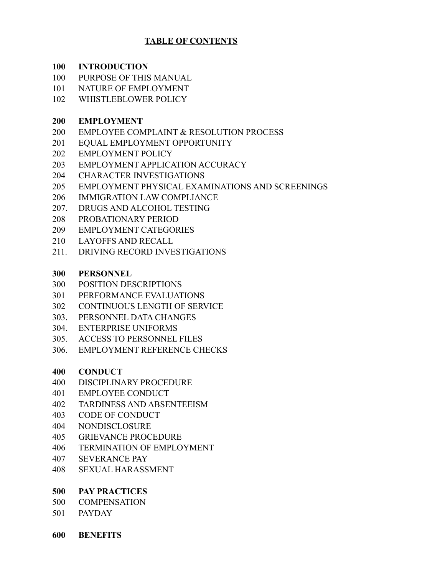# **TABLE OF CONTENTS**

#### **INTRODUCTION**

- PURPOSE OF THIS MANUAL
- NATURE OF EMPLOYMENT
- WHISTLEBLOWER POLICY

## **EMPLOYMENT**

- EMPLOYEE COMPLAINT & RESOLUTION PROCESS
- EQUAL EMPLOYMENT OPPORTUNITY
- EMPLOYMENT POLICY
- EMPLOYMENT APPLICATION ACCURACY
- CHARACTER INVESTIGATIONS
- EMPLOYMENT PHYSICAL EXAMINATIONS AND SCREENINGS
- IMMIGRATION LAW COMPLIANCE
- 207. DRUGS AND ALCOHOL TESTING
- PROBATIONARY PERIOD
- EMPLOYMENT CATEGORIES
- LAYOFFS AND RECALL
- 211. DRIVING RECORD INVESTIGATIONS

## **PERSONNEL**

- POSITION DESCRIPTIONS
- PERFORMANCE EVALUATIONS
- CONTINUOUS LENGTH OF SERVICE
- 303. PERSONNEL DATA CHANGES
- 304. ENTERPRISE UNIFORMS
- 305. ACCESS TO PERSONNEL FILES
- 306. EMPLOYMENT REFERENCE CHECKS

#### **CONDUCT**

- DISCIPLINARY PROCEDURE
- EMPLOYEE CONDUCT
- TARDINESS AND ABSENTEEISM
- CODE OF CONDUCT
- NONDISCLOSURE
- GRIEVANCE PROCEDURE
- TERMINATION OF EMPLOYMENT
- 407 SEVERANCE PAY
- SEXUAL HARASSMENT

#### **PAY PRACTICES**

- COMPENSATION
- PAYDAY

**BENEFITS**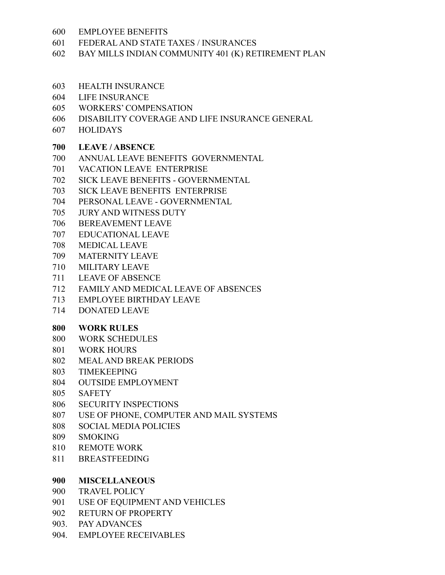- EMPLOYEE BENEFITS
- FEDERAL AND STATE TAXES / INSURANCES
- BAY MILLS INDIAN COMMUNITY 401 (K) RETIREMENT PLAN
- HEALTH INSURANCE
- LIFE INSURANCE
- WORKERS' COMPENSATION
- DISABILITY COVERAGE AND LIFE INSURANCE GENERAL
- 607 HOLIDAYS

## **LEAVE / ABSENCE**

- ANNUAL LEAVE BENEFITS GOVERNMENTAL
- VACATION LEAVE ENTERPRISE
- SICK LEAVE BENEFITS GOVERNMENTAL
- SICK LEAVE BENEFITS ENTERPRISE
- PERSONAL LEAVE GOVERNMENTAL
- JURY AND WITNESS DUTY
- BEREAVEMENT LEAVE
- EDUCATIONAL LEAVE
- MEDICAL LEAVE
- MATERNITY LEAVE
- MILITARY LEAVE
- LEAVE OF ABSENCE
- FAMILY AND MEDICAL LEAVE OF ABSENCES
- EMPLOYEE BIRTHDAY LEAVE
- DONATED LEAVE

#### **WORK RULES**

- WORK SCHEDULES
- WORK HOURS
- MEAL AND BREAK PERIODS
- TIMEKEEPING
- OUTSIDE EMPLOYMENT
- SAFETY
- SECURITY INSPECTIONS
- USE OF PHONE, COMPUTER AND MAIL SYSTEMS
- 808 SOCIAL MEDIA POLICIES
- SMOKING
- REMOTE WORK
- BREASTFEEDING

# **MISCELLANEOUS**

- TRAVEL POLICY
- USE OF EQUIPMENT AND VEHICLES
- RETURN OF PROPERTY
- 903. PAY ADVANCES
- 904. EMPLOYEE RECEIVABLES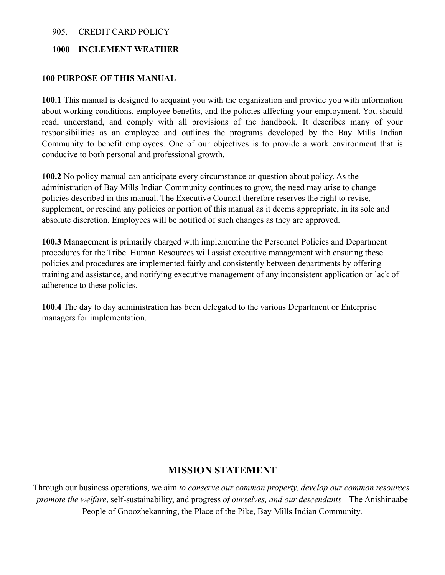#### 905. CREDIT CARD POLICY

#### **1000 INCLEMENT WEATHER**

#### **100 PURPOSE OF THIS MANUAL**

**100.1** This manual is designed to acquaint you with the organization and provide you with information about working conditions, employee benefits, and the policies affecting your employment. You should read, understand, and comply with all provisions of the handbook. It describes many of your responsibilities as an employee and outlines the programs developed by the Bay Mills Indian Community to benefit employees. One of our objectives is to provide a work environment that is conducive to both personal and professional growth.

**100.2** No policy manual can anticipate every circumstance or question about policy. As the administration of Bay Mills Indian Community continues to grow, the need may arise to change policies described in this manual. The Executive Council therefore reserves the right to revise, supplement, or rescind any policies or portion of this manual as it deems appropriate, in its sole and absolute discretion. Employees will be notified of such changes as they are approved.

**100.3** Management is primarily charged with implementing the Personnel Policies and Department procedures for the Tribe. Human Resources will assist executive management with ensuring these policies and procedures are implemented fairly and consistently between departments by offering training and assistance, and notifying executive management of any inconsistent application or lack of adherence to these policies.

**100.4** The day to day administration has been delegated to the various Department or Enterprise managers for implementation.

#### **MISSION STATEMENT**

Through our business operations, we aim *to conserve our common property, develop our common resources, promote the welfare*, self-sustainability, and progress *of ourselves, and our descendants—*The Anishinaabe People of Gnoozhekanning, the Place of the Pike, Bay Mills Indian Community.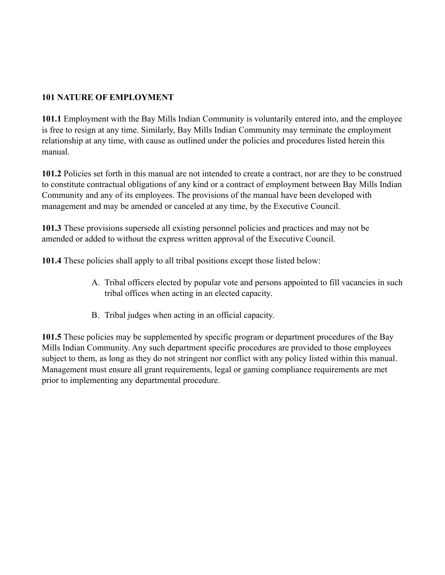# **101 NATURE OF EMPLOYMENT**

**101.1** Employment with the Bay Mills Indian Community is voluntarily entered into, and the employee is free to resign at any time. Similarly, Bay Mills Indian Community may terminate the employment relationship at any time, with cause as outlined under the policies and procedures listed herein this manual.

**101.2** Policies set forth in this manual are not intended to create a contract, nor are they to be construed to constitute contractual obligations of any kind or a contract of employment between Bay Mills Indian Community and any of its employees. The provisions of the manual have been developed with management and may be amended or canceled at any time, by the Executive Council.

**101.3** These provisions supersede all existing personnel policies and practices and may not be amended or added to without the express written approval of the Executive Council.

**101.4** These policies shall apply to all tribal positions except those listed below:

- A. Tribal officers elected by popular vote and persons appointed to fill vacancies in such tribal offices when acting in an elected capacity.
- B. Tribal judges when acting in an official capacity.

**101.5** These policies may be supplemented by specific program or department procedures of the Bay Mills Indian Community. Any such department specific procedures are provided to those employees subject to them, as long as they do not stringent nor conflict with any policy listed within this manual. Management must ensure all grant requirements, legal or gaming compliance requirements are met prior to implementing any departmental procedure.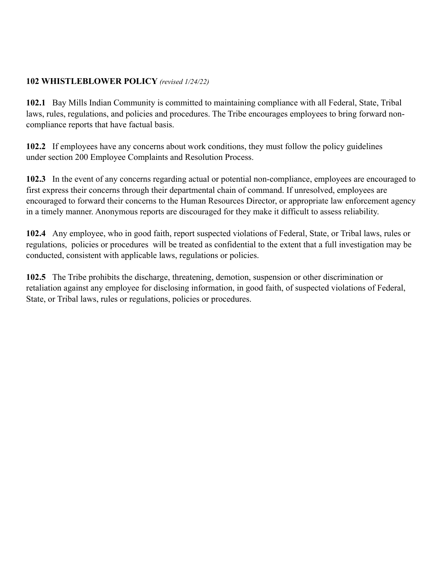## **102 WHISTLEBLOWER POLICY** *(revised 1/24/22)*

**102.1** Bay Mills Indian Community is committed to maintaining compliance with all Federal, State, Tribal laws, rules, regulations, and policies and procedures. The Tribe encourages employees to bring forward noncompliance reports that have factual basis.

**102.2** If employees have any concerns about work conditions, they must follow the policy guidelines under section 200 Employee Complaints and Resolution Process.

**102.3** In the event of any concerns regarding actual or potential non-compliance, employees are encouraged to first express their concerns through their departmental chain of command. If unresolved, employees are encouraged to forward their concerns to the Human Resources Director, or appropriate law enforcement agency in a timely manner. Anonymous reports are discouraged for they make it difficult to assess reliability.

**102.4** Any employee, who in good faith, report suspected violations of Federal, State, or Tribal laws, rules or regulations, policies or procedures will be treated as confidential to the extent that a full investigation may be conducted, consistent with applicable laws, regulations or policies.

**102.5** The Tribe prohibits the discharge, threatening, demotion, suspension or other discrimination or retaliation against any employee for disclosing information, in good faith, of suspected violations of Federal, State, or Tribal laws, rules or regulations, policies or procedures.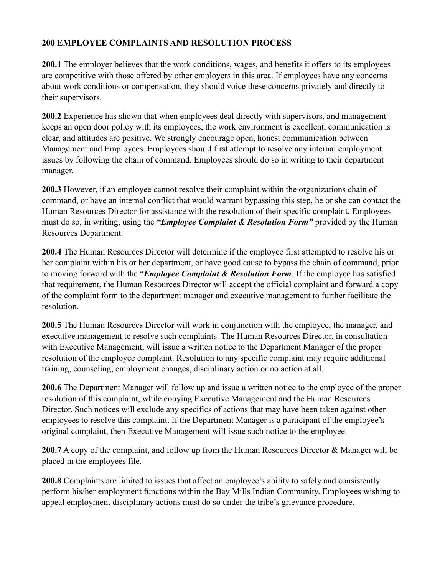## **200 EMPLOYEE COMPLAINTS AND RESOLUTION PROCESS**

**200.1** The employer believes that the work conditions, wages, and benefits it offers to its employees are competitive with those offered by other employers in this area. If employees have any concerns about work conditions or compensation, they should voice these concerns privately and directly to their supervisors.

**200.2** Experience has shown that when employees deal directly with supervisors, and management keeps an open door policy with its employees, the work environment is excellent, communication is clear, and attitudes are positive. We strongly encourage open, honest communication between Management and Employees. Employees should first attempt to resolve any internal employment issues by following the chain of command. Employees should do so in writing to their department manager.

**200.3** However, if an employee cannot resolve their complaint within the organizations chain of command, or have an internal conflict that would warrant bypassing this step, he or she can contact the Human Resources Director for assistance with the resolution of their specific complaint. Employees must do so, in writing, using the *"Employee Complaint & Resolution Form"* provided by the Human Resources Department.

**200.4** The Human Resources Director will determine if the employee first attempted to resolve his or her complaint within his or her department, or have good cause to bypass the chain of command, prior to moving forward with the "*Employee Complaint & Resolution Form*. If the employee has satisfied that requirement, the Human Resources Director will accept the official complaint and forward a copy of the complaint form to the department manager and executive management to further facilitate the resolution.

**200.5** The Human Resources Director will work in conjunction with the employee, the manager, and executive management to resolve such complaints. The Human Resources Director, in consultation with Executive Management, will issue a written notice to the Department Manager of the proper resolution of the employee complaint. Resolution to any specific complaint may require additional training, counseling, employment changes, disciplinary action or no action at all.

**200.6** The Department Manager will follow up and issue a written notice to the employee of the proper resolution of this complaint, while copying Executive Management and the Human Resources Director. Such notices will exclude any specifics of actions that may have been taken against other employees to resolve this complaint. If the Department Manager is a participant of the employee's original complaint, then Executive Management will issue such notice to the employee.

**200.7** A copy of the complaint, and follow up from the Human Resources Director & Manager will be placed in the employees file.

**200.8** Complaints are limited to issues that affect an employee's ability to safely and consistently perform his/her employment functions within the Bay Mills Indian Community. Employees wishing to appeal employment disciplinary actions must do so under the tribe's grievance procedure.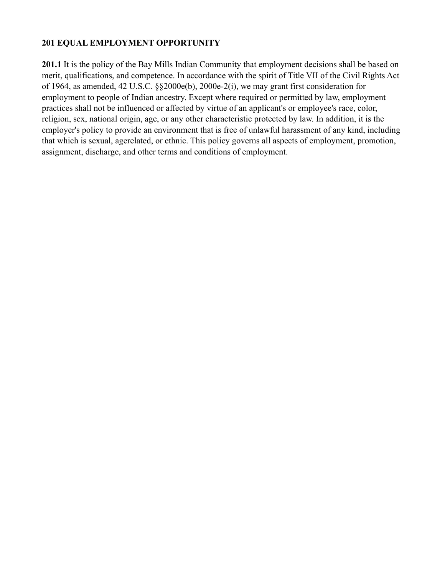## **201 EQUAL EMPLOYMENT OPPORTUNITY**

**201.1** It is the policy of the Bay Mills Indian Community that employment decisions shall be based on merit, qualifications, and competence. In accordance with the spirit of Title VII of the Civil Rights Act of 1964, as amended, 42 U.S.C. §§2000e(b), 2000e-2(i), we may grant first consideration for employment to people of Indian ancestry. Except where required or permitted by law, employment practices shall not be influenced or affected by virtue of an applicant's or employee's race, color, religion, sex, national origin, age, or any other characteristic protected by law. In addition, it is the employer's policy to provide an environment that is free of unlawful harassment of any kind, including that which is sexual, agerelated, or ethnic. This policy governs all aspects of employment, promotion, assignment, discharge, and other terms and conditions of employment.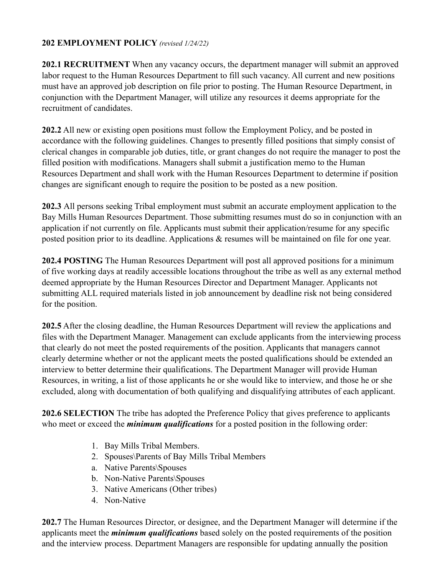### **202 EMPLOYMENT POLICY** *(revised 1/24/22)*

**202.1 RECRUITMENT** When any vacancy occurs, the department manager will submit an approved labor request to the Human Resources Department to fill such vacancy. All current and new positions must have an approved job description on file prior to posting. The Human Resource Department, in conjunction with the Department Manager, will utilize any resources it deems appropriate for the recruitment of candidates.

**202.2** All new or existing open positions must follow the Employment Policy, and be posted in accordance with the following guidelines. Changes to presently filled positions that simply consist of clerical changes in comparable job duties, title, or grant changes do not require the manager to post the filled position with modifications. Managers shall submit a justification memo to the Human Resources Department and shall work with the Human Resources Department to determine if position changes are significant enough to require the position to be posted as a new position.

**202.3** All persons seeking Tribal employment must submit an accurate employment application to the Bay Mills Human Resources Department. Those submitting resumes must do so in conjunction with an application if not currently on file. Applicants must submit their application/resume for any specific posted position prior to its deadline. Applications & resumes will be maintained on file for one year.

**202.4 POSTING** The Human Resources Department will post all approved positions for a minimum of five working days at readily accessible locations throughout the tribe as well as any external method deemed appropriate by the Human Resources Director and Department Manager. Applicants not submitting ALL required materials listed in job announcement by deadline risk not being considered for the position.

**202.5** After the closing deadline, the Human Resources Department will review the applications and files with the Department Manager. Management can exclude applicants from the interviewing process that clearly do not meet the posted requirements of the position. Applicants that managers cannot clearly determine whether or not the applicant meets the posted qualifications should be extended an interview to better determine their qualifications. The Department Manager will provide Human Resources, in writing, a list of those applicants he or she would like to interview, and those he or she excluded, along with documentation of both qualifying and disqualifying attributes of each applicant.

**202.6 SELECTION** The tribe has adopted the Preference Policy that gives preference to applicants who meet or exceed the *minimum qualifications* for a posted position in the following order:

- 1. Bay Mills Tribal Members.
- 2. Spouses\Parents of Bay Mills Tribal Members
- a. Native Parents\Spouses
- b. Non-Native Parents\Spouses
- 3. Native Americans (Other tribes)
- 4. Non-Native

**202.7** The Human Resources Director, or designee, and the Department Manager will determine if the applicants meet the *minimum qualifications* based solely on the posted requirements of the position and the interview process. Department Managers are responsible for updating annually the position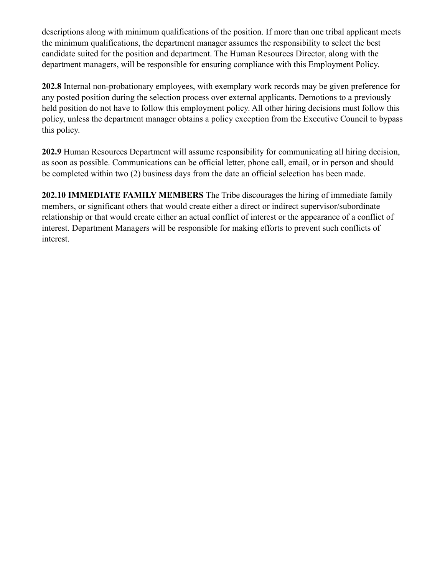descriptions along with minimum qualifications of the position. If more than one tribal applicant meets the minimum qualifications, the department manager assumes the responsibility to select the best candidate suited for the position and department. The Human Resources Director, along with the department managers, will be responsible for ensuring compliance with this Employment Policy.

**202.8** Internal non-probationary employees, with exemplary work records may be given preference for any posted position during the selection process over external applicants. Demotions to a previously held position do not have to follow this employment policy. All other hiring decisions must follow this policy, unless the department manager obtains a policy exception from the Executive Council to bypass this policy.

**202.9** Human Resources Department will assume responsibility for communicating all hiring decision, as soon as possible. Communications can be official letter, phone call, email, or in person and should be completed within two (2) business days from the date an official selection has been made.

**202.10 IMMEDIATE FAMILY MEMBERS** The Tribe discourages the hiring of immediate family members, or significant others that would create either a direct or indirect supervisor/subordinate relationship or that would create either an actual conflict of interest or the appearance of a conflict of interest. Department Managers will be responsible for making efforts to prevent such conflicts of interest.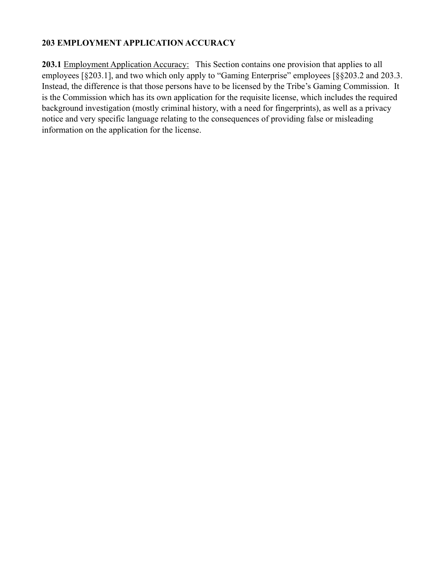## **203 EMPLOYMENT APPLICATION ACCURACY**

203.1 Employment Application Accuracy: This Section contains one provision that applies to all employees [§203.1], and two which only apply to "Gaming Enterprise" employees [§§203.2 and 203.3. Instead, the difference is that those persons have to be licensed by the Tribe's Gaming Commission. It is the Commission which has its own application for the requisite license, which includes the required background investigation (mostly criminal history, with a need for fingerprints), as well as a privacy notice and very specific language relating to the consequences of providing false or misleading information on the application for the license.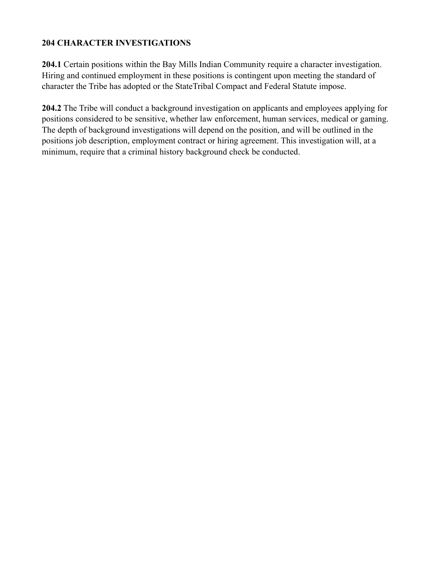### **204 CHARACTER INVESTIGATIONS**

**204.1** Certain positions within the Bay Mills Indian Community require a character investigation. Hiring and continued employment in these positions is contingent upon meeting the standard of character the Tribe has adopted or the StateTribal Compact and Federal Statute impose.

**204.2** The Tribe will conduct a background investigation on applicants and employees applying for positions considered to be sensitive, whether law enforcement, human services, medical or gaming. The depth of background investigations will depend on the position, and will be outlined in the positions job description, employment contract or hiring agreement. This investigation will, at a minimum, require that a criminal history background check be conducted.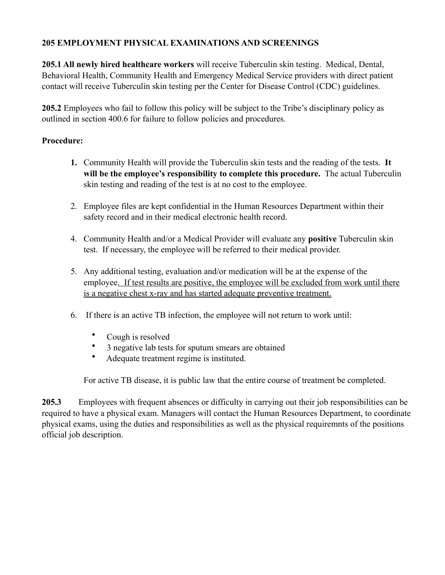# **205 EMPLOYMENT PHYSICAL EXAMINATIONS AND SCREENINGS**

**205.1 All newly hired healthcare workers** will receive Tuberculin skin testing. Medical, Dental, Behavioral Health, Community Health and Emergency Medical Service providers with direct patient contact will receive Tuberculin skin testing per the Center for Disease Control (CDC) guidelines.

**205.2** Employees who fail to follow this policy will be subject to the Tribe's disciplinary policy as outlined in section 400.6 for failure to follow policies and procedures.

## **Procedure:**

- **1.** Community Health will provide the Tuberculin skin tests and the reading of the tests. **It will be the employee's responsibility to complete this procedure.** The actual Tuberculin skin testing and reading of the test is at no cost to the employee.
- 2. Employee files are kept confidential in the Human Resources Department within their safety record and in their medical electronic health record.
- 4. Community Health and/or a Medical Provider will evaluate any **positive** Tuberculin skin test. If necessary, the employee will be referred to their medical provider.
- 5. Any additional testing, evaluation and/or medication will be at the expense of the employee. If test results are positive, the employee will be excluded from work until there is a negative chest x-ray and has started adequate preventive treatment.
- 6. If there is an active TB infection, the employee will not return to work until:
	- Cough is resolved
	- 3 negative lab tests for sputum smears are obtained
	- Adequate treatment regime is instituted.

For active TB disease, it is public law that the entire course of treatment be completed.

**205.3** Employees with frequent absences or difficulty in carrying out their job responsibilities can be required to have a physical exam. Managers will contact the Human Resources Department, to coordinate physical exams, using the duties and responsibilities as well as the physical requiremnts of the positions official job description.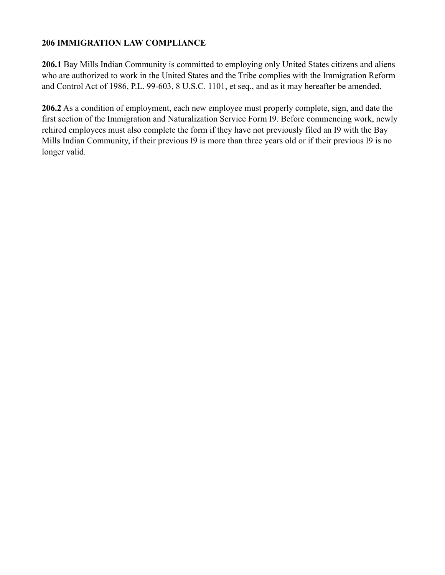## **206 IMMIGRATION LAW COMPLIANCE**

**206.1** Bay Mills Indian Community is committed to employing only United States citizens and aliens who are authorized to work in the United States and the Tribe complies with the Immigration Reform and Control Act of 1986, P.L. 99-603, 8 U.S.C. 1101, et seq., and as it may hereafter be amended.

**206.2** As a condition of employment, each new employee must properly complete, sign, and date the first section of the Immigration and Naturalization Service Form I9. Before commencing work, newly rehired employees must also complete the form if they have not previously filed an I9 with the Bay Mills Indian Community, if their previous I9 is more than three years old or if their previous I9 is no longer valid.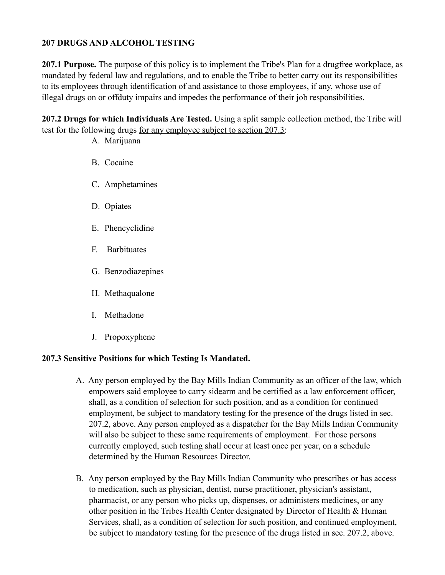## **207 DRUGS AND ALCOHOL TESTING**

**207.1 Purpose.** The purpose of this policy is to implement the Tribe's Plan for a drugfree workplace, as mandated by federal law and regulations, and to enable the Tribe to better carry out its responsibilities to its employees through identification of and assistance to those employees, if any, whose use of illegal drugs on or offduty impairs and impedes the performance of their job responsibilities.

**207.2 Drugs for which Individuals Are Tested.** Using a split sample collection method, the Tribe will test for the following drugs for any employee subject to section 207.3:

- A. Marijuana
- B. Cocaine
- C. Amphetamines
- D. Opiates
- E. Phencyclidine
- F. Barbituates
- G. Benzodiazepines
- H. Methaqualone
- I. Methadone
- J. Propoxyphene

#### **207.3 Sensitive Positions for which Testing Is Mandated.**

- A. Any person employed by the Bay Mills Indian Community as an officer of the law, which empowers said employee to carry sidearm and be certified as a law enforcement officer, shall, as a condition of selection for such position, and as a condition for continued employment, be subject to mandatory testing for the presence of the drugs listed in sec. 207.2, above. Any person employed as a dispatcher for the Bay Mills Indian Community will also be subject to these same requirements of employment. For those persons currently employed, such testing shall occur at least once per year, on a schedule determined by the Human Resources Director.
- B. Any person employed by the Bay Mills Indian Community who prescribes or has access to medication, such as physician, dentist, nurse practitioner, physician's assistant, pharmacist, or any person who picks up, dispenses, or administers medicines, or any other position in the Tribes Health Center designated by Director of Health & Human Services, shall, as a condition of selection for such position, and continued employment, be subject to mandatory testing for the presence of the drugs listed in sec. 207.2, above.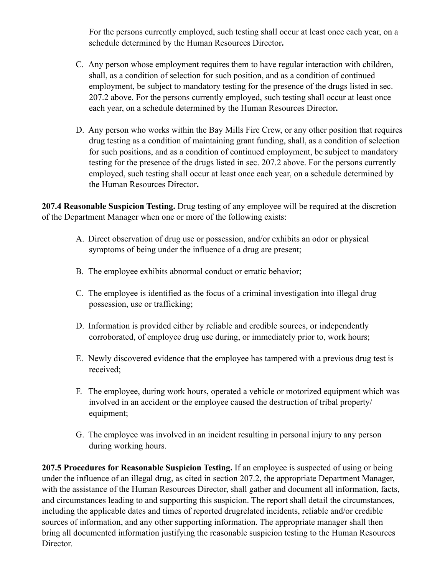For the persons currently employed, such testing shall occur at least once each year, on a schedule determined by the Human Resources Director**.**

- C. Any person whose employment requires them to have regular interaction with children, shall, as a condition of selection for such position, and as a condition of continued employment, be subject to mandatory testing for the presence of the drugs listed in sec. 207.2 above. For the persons currently employed, such testing shall occur at least once each year, on a schedule determined by the Human Resources Director**.**
- D. Any person who works within the Bay Mills Fire Crew, or any other position that requires drug testing as a condition of maintaining grant funding, shall, as a condition of selection for such positions, and as a condition of continued employment, be subject to mandatory testing for the presence of the drugs listed in sec. 207.2 above. For the persons currently employed, such testing shall occur at least once each year, on a schedule determined by the Human Resources Director**.**

**207.4 Reasonable Suspicion Testing.** Drug testing of any employee will be required at the discretion of the Department Manager when one or more of the following exists:

- A. Direct observation of drug use or possession, and/or exhibits an odor or physical symptoms of being under the influence of a drug are present;
- B. The employee exhibits abnormal conduct or erratic behavior;
- C. The employee is identified as the focus of a criminal investigation into illegal drug possession, use or trafficking;
- D. Information is provided either by reliable and credible sources, or independently corroborated, of employee drug use during, or immediately prior to, work hours;
- E. Newly discovered evidence that the employee has tampered with a previous drug test is received;
- F. The employee, during work hours, operated a vehicle or motorized equipment which was involved in an accident or the employee caused the destruction of tribal property/ equipment;
- G. The employee was involved in an incident resulting in personal injury to any person during working hours.

**207.5 Procedures for Reasonable Suspicion Testing.** If an employee is suspected of using or being under the influence of an illegal drug, as cited in section 207.2, the appropriate Department Manager, with the assistance of the Human Resources Director, shall gather and document all information, facts, and circumstances leading to and supporting this suspicion. The report shall detail the circumstances, including the applicable dates and times of reported drugrelated incidents, reliable and/or credible sources of information, and any other supporting information. The appropriate manager shall then bring all documented information justifying the reasonable suspicion testing to the Human Resources Director*.*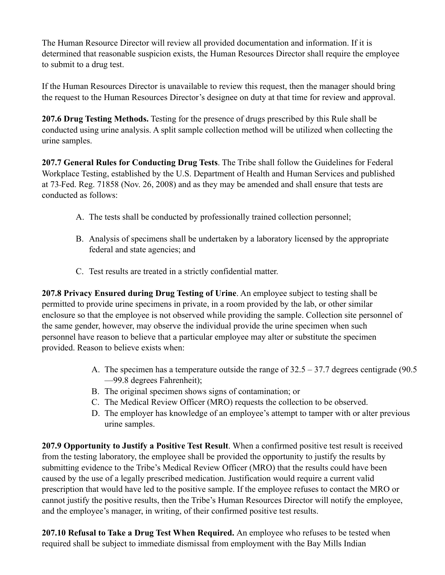The Human Resource Director will review all provided documentation and information. If it is determined that reasonable suspicion exists, the Human Resources Director shall require the employee to submit to a drug test.

If the Human Resources Director is unavailable to review this request, then the manager should bring the request to the Human Resources Director's designee on duty at that time for review and approval.

**207.6 Drug Testing Methods.** Testing for the presence of drugs prescribed by this Rule shall be conducted using urine analysis. A split sample collection method will be utilized when collecting the urine samples.

**207.7 General Rules for Conducting Drug Tests**. The Tribe shall follow the Guidelines for Federal Workplace Testing, established by the U.S. Department of Health and Human Services and published at 73 Fed. Reg. 71858 (Nov. 26, 2008) and as they may be amended and shall ensure that tests are conducted as follows:

- A. The tests shall be conducted by professionally trained collection personnel;
- B. Analysis of specimens shall be undertaken by a laboratory licensed by the appropriate federal and state agencies; and
- C. Test results are treated in a strictly confidential matter.

**207.8 Privacy Ensured during Drug Testing of Urine**. An employee subject to testing shall be permitted to provide urine specimens in private, in a room provided by the lab, or other similar enclosure so that the employee is not observed while providing the sample. Collection site personnel of the same gender, however, may observe the individual provide the urine specimen when such personnel have reason to believe that a particular employee may alter or substitute the specimen provided. Reason to believe exists when:

- A. The specimen has a temperature outside the range of 32.5 37.7 degrees centigrade (90.5 —99.8 degrees Fahrenheit);
- B. The original specimen shows signs of contamination; or
- C. The Medical Review Officer (MRO) requests the collection to be observed.
- D. The employer has knowledge of an employee's attempt to tamper with or alter previous urine samples.

**207.9 Opportunity to Justify a Positive Test Result**. When a confirmed positive test result is received from the testing laboratory, the employee shall be provided the opportunity to justify the results by submitting evidence to the Tribe's Medical Review Officer (MRO) that the results could have been caused by the use of a legally prescribed medication. Justification would require a current valid prescription that would have led to the positive sample. If the employee refuses to contact the MRO or cannot justify the positive results, then the Tribe's Human Resources Director will notify the employee, and the employee's manager, in writing, of their confirmed positive test results.

**207.10 Refusal to Take a Drug Test When Required.** An employee who refuses to be tested when required shall be subject to immediate dismissal from employment with the Bay Mills Indian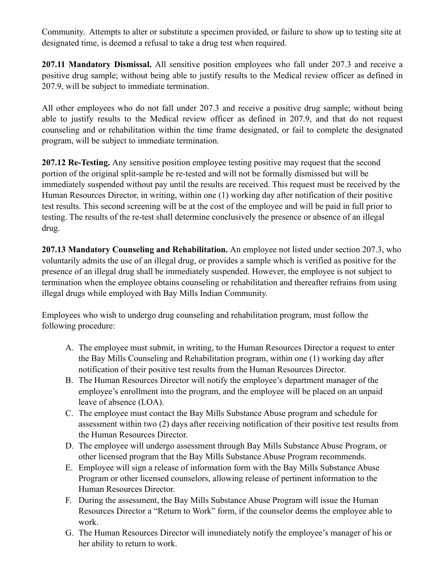Community. Attempts to alter or substitute a specimen provided, or failure to show up to testing site at designated time, is deemed a refusal to take a drug test when required.

**207.11 Mandatory Dismissal.** All sensitive position employees who fall under 207.3 and receive a positive drug sample; without being able to justify results to the Medical review officer as defined in 207.9, will be subject to immediate termination.

All other employees who do not fall under 207.3 and receive a positive drug sample; without being able to justify results to the Medical review officer as defined in 207.9, and that do not request counseling and or rehabilitation within the time frame designated, or fail to complete the designated program, will be subject to immediate termination.

**207.12 Re-Testing.** Any sensitive position employee testing positive may request that the second portion of the original split-sample be re-tested and will not be formally dismissed but will be immediately suspended without pay until the results are received. This request must be received by the Human Resources Director, in writing, within one (1) working day after notification of their positive test results. This second screening will be at the cost of the employee and will be paid in full prior to testing. The results of the re-test shall determine conclusively the presence or absence of an illegal drug.

**207.13 Mandatory Counseling and Rehabilitation.** An employee not listed under section 207.3, who voluntarily admits the use of an illegal drug, or provides a sample which is verified as positive for the presence of an illegal drug shall be immediately suspended. However, the employee is not subject to termination when the employee obtains counseling or rehabilitation and thereafter refrains from using illegal drugs while employed with Bay Mills Indian Community.

Employees who wish to undergo drug counseling and rehabilitation program, must follow the following procedure:

- A. The employee must submit, in writing, to the Human Resources Director a request to enter the Bay Mills Counseling and Rehabilitation program, within one (1) working day after notification of their positive test results from the Human Resources Director.
- B. The Human Resources Director will notify the employee's department manager of the employee's enrollment into the program, and the employee will be placed on an unpaid leave of absence (LOA).
- C. The employee must contact the Bay Mills Substance Abuse program and schedule for assessment within two (2) days after receiving notification of their positive test results from the Human Resources Director.
- D. The employee will undergo assessment through Bay Mills Substance Abuse Program, or other licensed program that the Bay Mills Substance Abuse Program recommends.
- E. Employee will sign a release of information form with the Bay Mills Substance Abuse Program or other licensed counselors, allowing release of pertinent information to the Human Resources Director.
- F. During the assessment, the Bay Mills Substance Abuse Program will issue the Human Resources Director a "Return to Work" form, if the counselor deems the employee able to work.
- G. The Human Resources Director will immediately notify the employee's manager of his or her ability to return to work.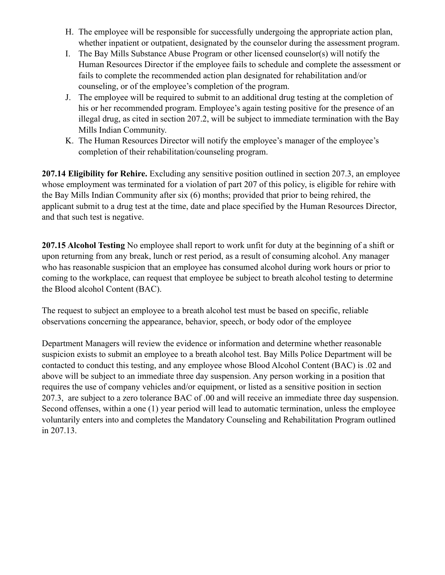- H. The employee will be responsible for successfully undergoing the appropriate action plan, whether inpatient or outpatient, designated by the counselor during the assessment program.
- I. The Bay Mills Substance Abuse Program or other licensed counselor(s) will notify the Human Resources Director if the employee fails to schedule and complete the assessment or fails to complete the recommended action plan designated for rehabilitation and/or counseling, or of the employee's completion of the program.
- J. The employee will be required to submit to an additional drug testing at the completion of his or her recommended program. Employee's again testing positive for the presence of an illegal drug, as cited in section 207.2, will be subject to immediate termination with the Bay Mills Indian Community.
- K. The Human Resources Director will notify the employee's manager of the employee's completion of their rehabilitation/counseling program.

**207.14 Eligibility for Rehire.** Excluding any sensitive position outlined in section 207.3, an employee whose employment was terminated for a violation of part 207 of this policy, is eligible for rehire with the Bay Mills Indian Community after six (6) months; provided that prior to being rehired, the applicant submit to a drug test at the time, date and place specified by the Human Resources Director, and that such test is negative.

**207.15 Alcohol Testing** No employee shall report to work unfit for duty at the beginning of a shift or upon returning from any break, lunch or rest period, as a result of consuming alcohol. Any manager who has reasonable suspicion that an employee has consumed alcohol during work hours or prior to coming to the workplace, can request that employee be subject to breath alcohol testing to determine the Blood alcohol Content (BAC).

The request to subject an employee to a breath alcohol test must be based on specific, reliable observations concerning the appearance, behavior, speech, or body odor of the employee

Department Managers will review the evidence or information and determine whether reasonable suspicion exists to submit an employee to a breath alcohol test. Bay Mills Police Department will be contacted to conduct this testing, and any employee whose Blood Alcohol Content (BAC) is .02 and above will be subject to an immediate three day suspension. Any person working in a position that requires the use of company vehicles and/or equipment, or listed as a sensitive position in section 207.3, are subject to a zero tolerance BAC of .00 and will receive an immediate three day suspension. Second offenses, within a one (1) year period will lead to automatic termination, unless the employee voluntarily enters into and completes the Mandatory Counseling and Rehabilitation Program outlined in 207.13.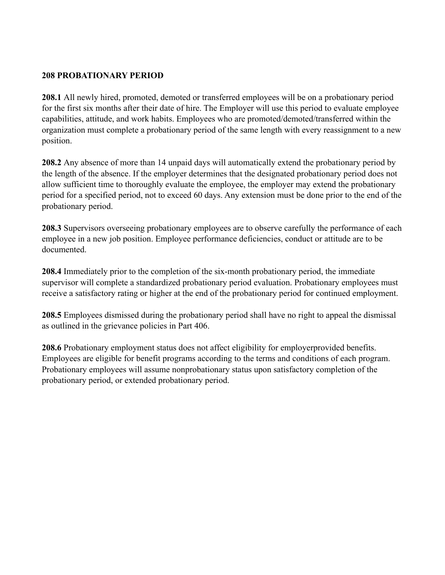#### **208 PROBATIONARY PERIOD**

**208.1** All newly hired, promoted, demoted or transferred employees will be on a probationary period for the first six months after their date of hire. The Employer will use this period to evaluate employee capabilities, attitude, and work habits. Employees who are promoted/demoted/transferred within the organization must complete a probationary period of the same length with every reassignment to a new position.

**208.2** Any absence of more than 14 unpaid days will automatically extend the probationary period by the length of the absence. If the employer determines that the designated probationary period does not allow sufficient time to thoroughly evaluate the employee, the employer may extend the probationary period for a specified period, not to exceed 60 days. Any extension must be done prior to the end of the probationary period.

**208.3** Supervisors overseeing probationary employees are to observe carefully the performance of each employee in a new job position. Employee performance deficiencies, conduct or attitude are to be documented.

**208.4** Immediately prior to the completion of the six-month probationary period, the immediate supervisor will complete a standardized probationary period evaluation. Probationary employees must receive a satisfactory rating or higher at the end of the probationary period for continued employment.

**208.5** Employees dismissed during the probationary period shall have no right to appeal the dismissal as outlined in the grievance policies in Part 406.

**208.6** Probationary employment status does not affect eligibility for employerprovided benefits. Employees are eligible for benefit programs according to the terms and conditions of each program. Probationary employees will assume nonprobationary status upon satisfactory completion of the probationary period, or extended probationary period.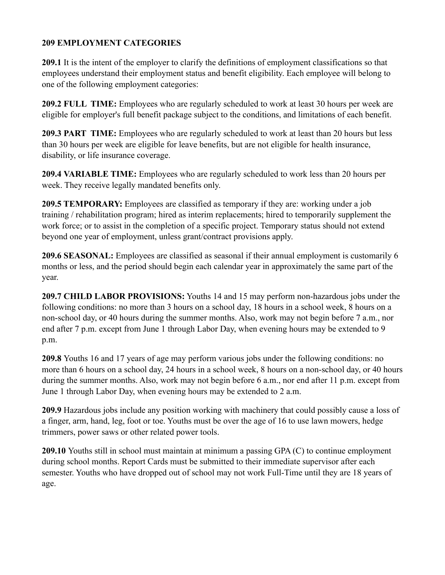## **209 EMPLOYMENT CATEGORIES**

**209.1** It is the intent of the employer to clarify the definitions of employment classifications so that employees understand their employment status and benefit eligibility. Each employee will belong to one of the following employment categories:

**209.2 FULL TIME:** Employees who are regularly scheduled to work at least 30 hours per week are eligible for employer's full benefit package subject to the conditions, and limitations of each benefit.

**209.3 PART TIME:** Employees who are regularly scheduled to work at least than 20 hours but less than 30 hours per week are eligible for leave benefits, but are not eligible for health insurance, disability, or life insurance coverage.

**209.4 VARIABLE TIME:** Employees who are regularly scheduled to work less than 20 hours per week. They receive legally mandated benefits only.

**209.5 TEMPORARY:** Employees are classified as temporary if they are: working under a job training / rehabilitation program; hired as interim replacements; hired to temporarily supplement the work force; or to assist in the completion of a specific project. Temporary status should not extend beyond one year of employment, unless grant/contract provisions apply.

**209.6 SEASONAL:** Employees are classified as seasonal if their annual employment is customarily 6 months or less, and the period should begin each calendar year in approximately the same part of the year.

**209.7 CHILD LABOR PROVISIONS:** Youths 14 and 15 may perform non-hazardous jobs under the following conditions: no more than 3 hours on a school day, 18 hours in a school week, 8 hours on a non-school day, or 40 hours during the summer months. Also, work may not begin before 7 a.m., nor end after 7 p.m. except from June 1 through Labor Day, when evening hours may be extended to 9 p.m.

**209.8** Youths 16 and 17 years of age may perform various jobs under the following conditions: no more than 6 hours on a school day, 24 hours in a school week, 8 hours on a non-school day, or 40 hours during the summer months. Also, work may not begin before 6 a.m., nor end after 11 p.m. except from June 1 through Labor Day, when evening hours may be extended to 2 a.m.

**209.9** Hazardous jobs include any position working with machinery that could possibly cause a loss of a finger, arm, hand, leg, foot or toe. Youths must be over the age of 16 to use lawn mowers, hedge trimmers, power saws or other related power tools.

**209.10** Youths still in school must maintain at minimum a passing GPA (C) to continue employment during school months. Report Cards must be submitted to their immediate supervisor after each semester. Youths who have dropped out of school may not work Full-Time until they are 18 years of age.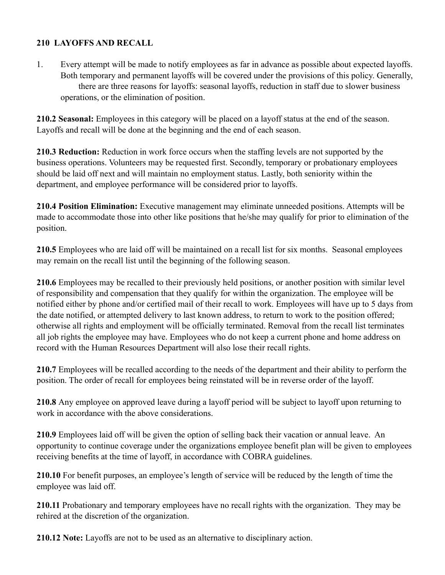# **210 LAYOFFS AND RECALL**

1. Every attempt will be made to notify employees as far in advance as possible about expected layoffs. Both temporary and permanent layoffs will be covered under the provisions of this policy. Generally, there are three reasons for layoffs: seasonal layoffs, reduction in staff due to slower business operations, or the elimination of position.

**210.2 Seasonal:** Employees in this category will be placed on a layoff status at the end of the season. Layoffs and recall will be done at the beginning and the end of each season.

**210.3 Reduction:** Reduction in work force occurs when the staffing levels are not supported by the business operations. Volunteers may be requested first. Secondly, temporary or probationary employees should be laid off next and will maintain no employment status. Lastly, both seniority within the department, and employee performance will be considered prior to layoffs.

**210.4 Position Elimination:** Executive management may eliminate unneeded positions. Attempts will be made to accommodate those into other like positions that he/she may qualify for prior to elimination of the position.

**210.5** Employees who are laid off will be maintained on a recall list for six months. Seasonal employees may remain on the recall list until the beginning of the following season.

**210.6** Employees may be recalled to their previously held positions, or another position with similar level of responsibility and compensation that they qualify for within the organization. The employee will be notified either by phone and/or certified mail of their recall to work. Employees will have up to 5 days from the date notified, or attempted delivery to last known address, to return to work to the position offered; otherwise all rights and employment will be officially terminated. Removal from the recall list terminates all job rights the employee may have. Employees who do not keep a current phone and home address on record with the Human Resources Department will also lose their recall rights.

**210.7** Employees will be recalled according to the needs of the department and their ability to perform the position. The order of recall for employees being reinstated will be in reverse order of the layoff.

**210.8** Any employee on approved leave during a layoff period will be subject to layoff upon returning to work in accordance with the above considerations.

**210.9** Employees laid off will be given the option of selling back their vacation or annual leave. An opportunity to continue coverage under the organizations employee benefit plan will be given to employees receiving benefits at the time of layoff, in accordance with COBRA guidelines.

**210.10** For benefit purposes, an employee's length of service will be reduced by the length of time the employee was laid off.

**210.11** Probationary and temporary employees have no recall rights with the organization. They may be rehired at the discretion of the organization.

**210.12 Note:** Layoffs are not to be used as an alternative to disciplinary action.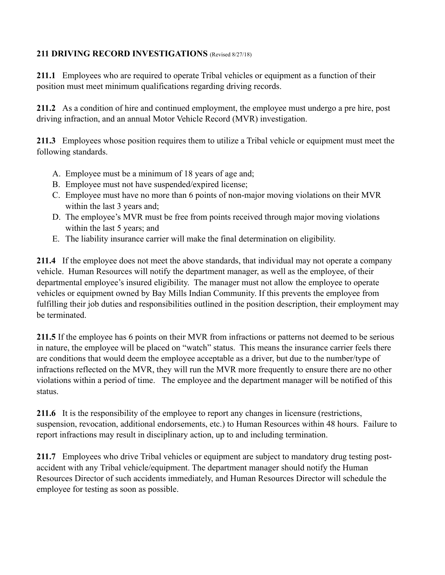# 211 DRIVING RECORD INVESTIGATIONS (Revised 8/27/18)

**211.1** Employees who are required to operate Tribal vehicles or equipment as a function of their position must meet minimum qualifications regarding driving records.

**211.2** As a condition of hire and continued employment, the employee must undergo a pre hire, post driving infraction, and an annual Motor Vehicle Record (MVR) investigation.

**211.3** Employees whose position requires them to utilize a Tribal vehicle or equipment must meet the following standards.

- A. Employee must be a minimum of 18 years of age and;
- B. Employee must not have suspended/expired license;
- C. Employee must have no more than 6 points of non-major moving violations on their MVR within the last 3 years and;
- D. The employee's MVR must be free from points received through major moving violations within the last 5 years; and
- E. The liability insurance carrier will make the final determination on eligibility.

**211.4** If the employee does not meet the above standards, that individual may not operate a company vehicle. Human Resources will notify the department manager, as well as the employee, of their departmental employee's insured eligibility. The manager must not allow the employee to operate vehicles or equipment owned by Bay Mills Indian Community. If this prevents the employee from fulfilling their job duties and responsibilities outlined in the position description, their employment may be terminated.

**211.5** If the employee has 6 points on their MVR from infractions or patterns not deemed to be serious in nature, the employee will be placed on "watch" status. This means the insurance carrier feels there are conditions that would deem the employee acceptable as a driver, but due to the number/type of infractions reflected on the MVR, they will run the MVR more frequently to ensure there are no other violations within a period of time. The employee and the department manager will be notified of this status.

211.6 It is the responsibility of the employee to report any changes in licensure (restrictions, suspension, revocation, additional endorsements, etc.) to Human Resources within 48 hours. Failure to report infractions may result in disciplinary action, up to and including termination.

**211.7** Employees who drive Tribal vehicles or equipment are subject to mandatory drug testing postaccident with any Tribal vehicle/equipment. The department manager should notify the Human Resources Director of such accidents immediately, and Human Resources Director will schedule the employee for testing as soon as possible.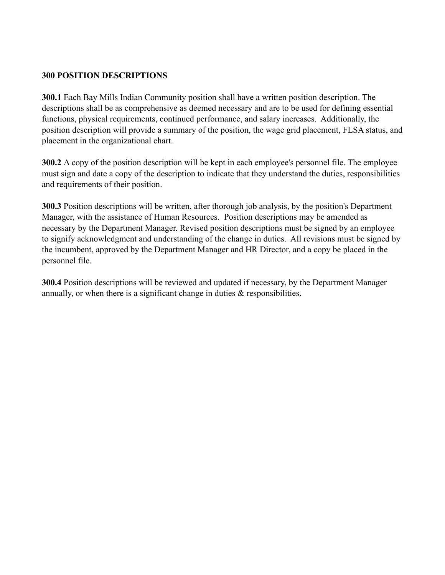#### **300 POSITION DESCRIPTIONS**

**300.1** Each Bay Mills Indian Community position shall have a written position description. The descriptions shall be as comprehensive as deemed necessary and are to be used for defining essential functions, physical requirements, continued performance, and salary increases. Additionally, the position description will provide a summary of the position, the wage grid placement, FLSA status, and placement in the organizational chart.

**300.2** A copy of the position description will be kept in each employee's personnel file. The employee must sign and date a copy of the description to indicate that they understand the duties, responsibilities and requirements of their position.

**300.3** Position descriptions will be written, after thorough job analysis, by the position's Department Manager, with the assistance of Human Resources. Position descriptions may be amended as necessary by the Department Manager. Revised position descriptions must be signed by an employee to signify acknowledgment and understanding of the change in duties. All revisions must be signed by the incumbent, approved by the Department Manager and HR Director, and a copy be placed in the personnel file.

**300.4** Position descriptions will be reviewed and updated if necessary, by the Department Manager annually, or when there is a significant change in duties  $\&$  responsibilities.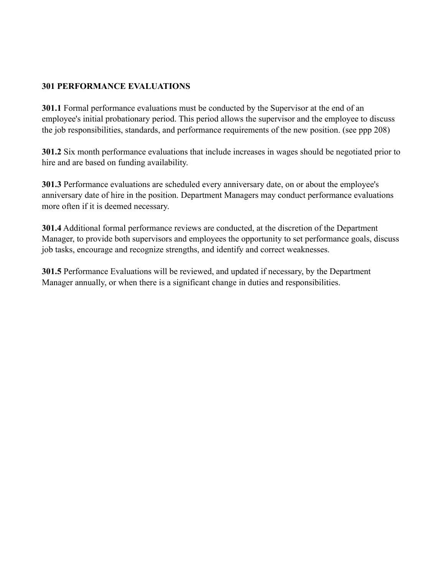## **301 PERFORMANCE EVALUATIONS**

**301.1** Formal performance evaluations must be conducted by the Supervisor at the end of an employee's initial probationary period. This period allows the supervisor and the employee to discuss the job responsibilities, standards, and performance requirements of the new position. (see ppp 208)

**301.2** Six month performance evaluations that include increases in wages should be negotiated prior to hire and are based on funding availability.

**301.3** Performance evaluations are scheduled every anniversary date, on or about the employee's anniversary date of hire in the position. Department Managers may conduct performance evaluations more often if it is deemed necessary.

**301.4** Additional formal performance reviews are conducted, at the discretion of the Department Manager, to provide both supervisors and employees the opportunity to set performance goals, discuss job tasks, encourage and recognize strengths, and identify and correct weaknesses.

**301.5** Performance Evaluations will be reviewed, and updated if necessary, by the Department Manager annually, or when there is a significant change in duties and responsibilities.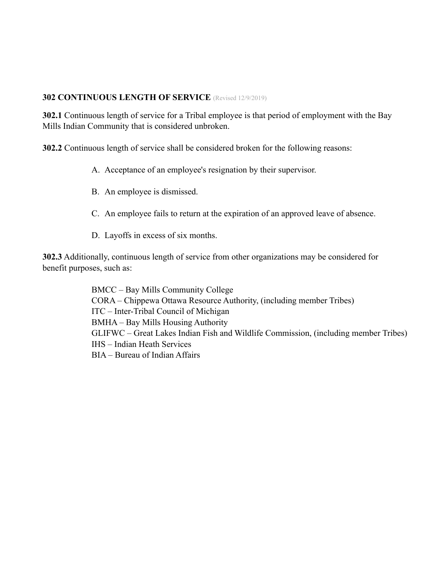#### **302 CONTINUOUS LENGTH OF SERVICE** (Revised 12/9/2019)

**302.1** Continuous length of service for a Tribal employee is that period of employment with the Bay Mills Indian Community that is considered unbroken.

**302.2** Continuous length of service shall be considered broken for the following reasons:

- A. Acceptance of an employee's resignation by their supervisor.
- B. An employee is dismissed.
- C. An employee fails to return at the expiration of an approved leave of absence.
- D. Layoffs in excess of six months.

**302.3** Additionally, continuous length of service from other organizations may be considered for benefit purposes, such as:

> BMCC – Bay Mills Community College CORA – Chippewa Ottawa Resource Authority, (including member Tribes) ITC – Inter-Tribal Council of Michigan BMHA – Bay Mills Housing Authority GLIFWC – Great Lakes Indian Fish and Wildlife Commission, (including member Tribes) IHS – Indian Heath Services BIA – Bureau of Indian Affairs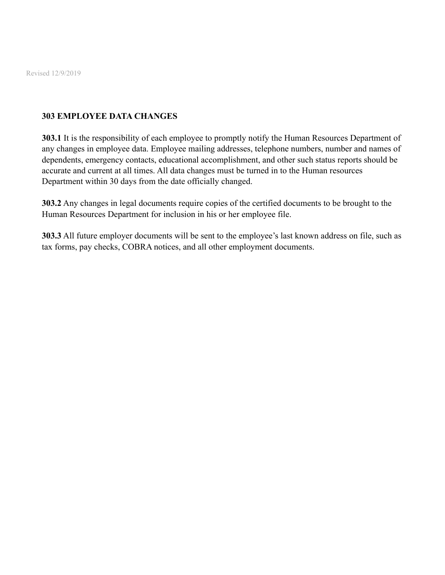Revised 12/9/2019

### **303 EMPLOYEE DATA CHANGES**

**303.1** It is the responsibility of each employee to promptly notify the Human Resources Department of any changes in employee data. Employee mailing addresses, telephone numbers, number and names of dependents, emergency contacts, educational accomplishment, and other such status reports should be accurate and current at all times. All data changes must be turned in to the Human resources Department within 30 days from the date officially changed.

**303.2** Any changes in legal documents require copies of the certified documents to be brought to the Human Resources Department for inclusion in his or her employee file.

**303.3** All future employer documents will be sent to the employee's last known address on file, such as tax forms, pay checks, COBRA notices, and all other employment documents.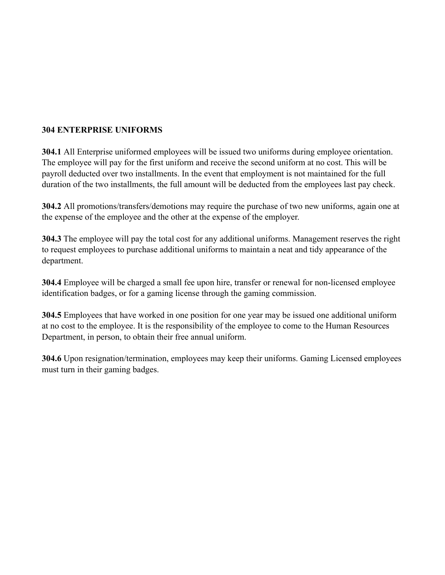# **304 ENTERPRISE UNIFORMS**

**304.1** All Enterprise uniformed employees will be issued two uniforms during employee orientation. The employee will pay for the first uniform and receive the second uniform at no cost. This will be payroll deducted over two installments. In the event that employment is not maintained for the full duration of the two installments, the full amount will be deducted from the employees last pay check.

**304.2** All promotions/transfers/demotions may require the purchase of two new uniforms, again one at the expense of the employee and the other at the expense of the employer.

**304.3** The employee will pay the total cost for any additional uniforms. Management reserves the right to request employees to purchase additional uniforms to maintain a neat and tidy appearance of the department.

**304.4** Employee will be charged a small fee upon hire, transfer or renewal for non-licensed employee identification badges, or for a gaming license through the gaming commission.

**304.5** Employees that have worked in one position for one year may be issued one additional uniform at no cost to the employee. It is the responsibility of the employee to come to the Human Resources Department, in person, to obtain their free annual uniform.

**304.6** Upon resignation/termination, employees may keep their uniforms. Gaming Licensed employees must turn in their gaming badges.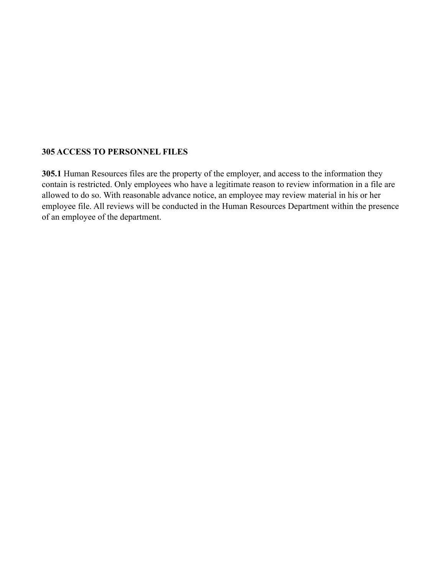#### **305 ACCESS TO PERSONNEL FILES**

**305.1** Human Resources files are the property of the employer, and access to the information they contain is restricted. Only employees who have a legitimate reason to review information in a file are allowed to do so. With reasonable advance notice, an employee may review material in his or her employee file. All reviews will be conducted in the Human Resources Department within the presence of an employee of the department.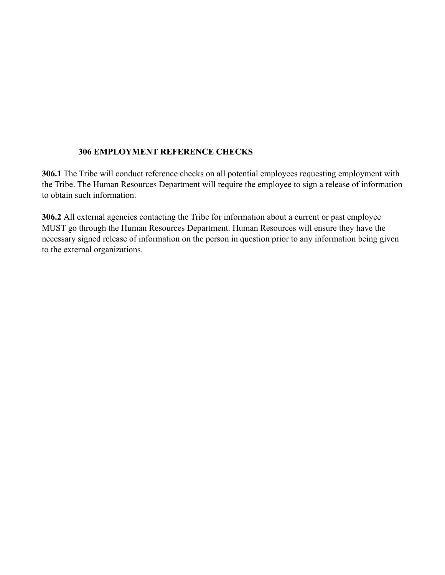#### **306 EMPLOYMENT REFERENCE CHECKS**

**306.1** The Tribe will conduct reference checks on all potential employees requesting employment with the Tribe. The Human Resources Department will require the employee to sign a release of information to obtain such information.

**306.2** All external agencies contacting the Tribe for information about a current or past employee MUST go through the Human Resources Department. Human Resources will ensure they have the necessary signed release of information on the person in question prior to any information being given to the external organizations.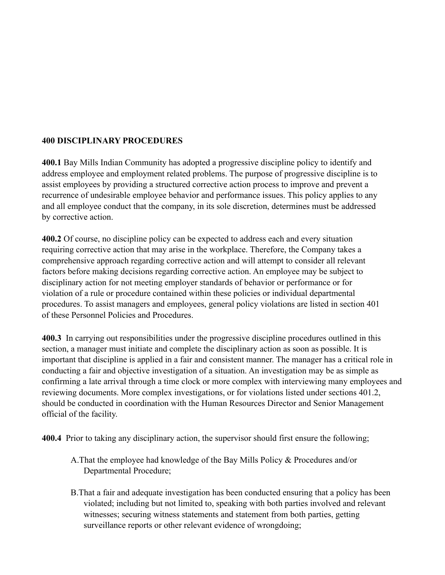## **400 DISCIPLINARY PROCEDURES**

**400.1** Bay Mills Indian Community has adopted a progressive discipline policy to identify and address employee and employment related problems. The purpose of progressive discipline is to assist employees by providing a structured corrective action process to improve and prevent a recurrence of undesirable employee behavior and performance issues. This policy applies to any and all employee conduct that the company, in its sole discretion, determines must be addressed by corrective action.

**400.2** Of course, no discipline policy can be expected to address each and every situation requiring corrective action that may arise in the workplace. Therefore, the Company takes a comprehensive approach regarding corrective action and will attempt to consider all relevant factors before making decisions regarding corrective action. An employee may be subject to disciplinary action for not meeting employer standards of behavior or performance or for violation of a rule or procedure contained within these policies or individual departmental procedures. To assist managers and employees, general policy violations are listed in section 401 of these Personnel Policies and Procedures.

**400.3** In carrying out responsibilities under the progressive discipline procedures outlined in this section, a manager must initiate and complete the disciplinary action as soon as possible. It is important that discipline is applied in a fair and consistent manner. The manager has a critical role in conducting a fair and objective investigation of a situation. An investigation may be as simple as confirming a late arrival through a time clock or more complex with interviewing many employees and reviewing documents. More complex investigations, or for violations listed under sections 401.2, should be conducted in coordination with the Human Resources Director and Senior Management official of the facility.

**400.4** Prior to taking any disciplinary action, the supervisor should first ensure the following;

- A.That the employee had knowledge of the Bay Mills Policy & Procedures and/or Departmental Procedure;
- B.That a fair and adequate investigation has been conducted ensuring that a policy has been violated; including but not limited to, speaking with both parties involved and relevant witnesses; securing witness statements and statement from both parties, getting surveillance reports or other relevant evidence of wrongdoing;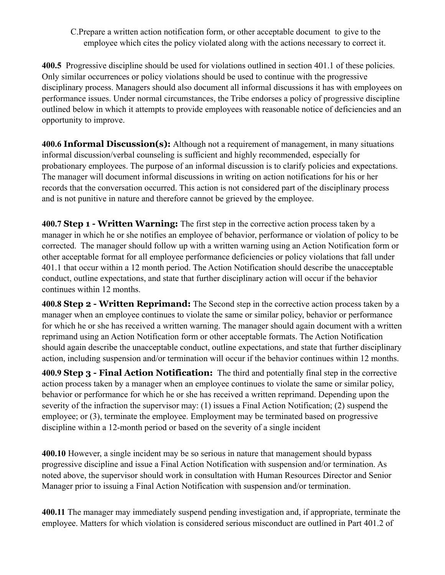C.Prepare a written action notification form, or other acceptable document to give to the employee which cites the policy violated along with the actions necessary to correct it.

**400.5** Progressive discipline should be used for violations outlined in section 401.1 of these policies. Only similar occurrences or policy violations should be used to continue with the progressive disciplinary process. Managers should also document all informal discussions it has with employees on performance issues. Under normal circumstances, the Tribe endorses a policy of progressive discipline outlined below in which it attempts to provide employees with reasonable notice of deficiencies and an opportunity to improve.

**400.6 Informal Discussion(s):** Although not a requirement of management, in many situations informal discussion/verbal counseling is sufficient and highly recommended, especially for probationary employees. The purpose of an informal discussion is to clarify policies and expectations. The manager will document informal discussions in writing on action notifications for his or her records that the conversation occurred. This action is not considered part of the disciplinary process and is not punitive in nature and therefore cannot be grieved by the employee.

**400.7 Step 1 - Written Warning:** The first step in the corrective action process taken by a manager in which he or she notifies an employee of behavior, performance or violation of policy to be corrected. The manager should follow up with a written warning using an Action Notification form or other acceptable format for all employee performance deficiencies or policy violations that fall under 401.1 that occur within a 12 month period. The Action Notification should describe the unacceptable conduct, outline expectations, and state that further disciplinary action will occur if the behavior continues within 12 months.

**400.8 Step 2 - Written Reprimand:** The Second step in the corrective action process taken by a manager when an employee continues to violate the same or similar policy, behavior or performance for which he or she has received a written warning. The manager should again document with a written reprimand using an Action Notification form or other acceptable formats. The Action Notification should again describe the unacceptable conduct, outline expectations, and state that further disciplinary action, including suspension and/or termination will occur if the behavior continues within 12 months.

**400.9 Step 3 - Final Action Notification:** The third and potentially final step in the corrective action process taken by a manager when an employee continues to violate the same or similar policy, behavior or performance for which he or she has received a written reprimand. Depending upon the severity of the infraction the supervisor may: (1) issues a Final Action Notification; (2) suspend the employee; or (3), terminate the employee. Employment may be terminated based on progressive discipline within a 12-month period or based on the severity of a single incident

**400.10** However, a single incident may be so serious in nature that management should bypass progressive discipline and issue a Final Action Notification with suspension and/or termination. As noted above, the supervisor should work in consultation with Human Resources Director and Senior Manager prior to issuing a Final Action Notification with suspension and/or termination.

**400.11** The manager may immediately suspend pending investigation and, if appropriate, terminate the employee. Matters for which violation is considered serious misconduct are outlined in Part 401.2 of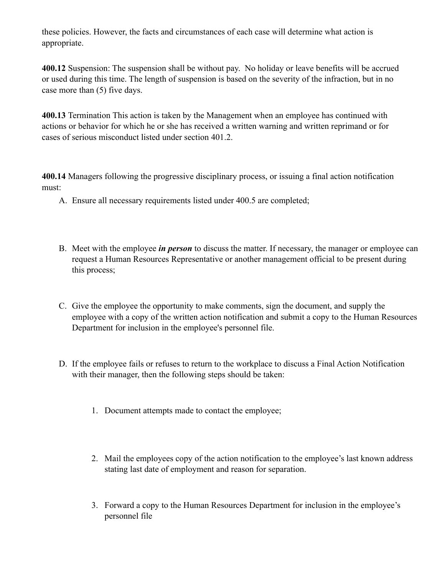these policies. However, the facts and circumstances of each case will determine what action is appropriate.

**400.12** Suspension: The suspension shall be without pay. No holiday or leave benefits will be accrued or used during this time. The length of suspension is based on the severity of the infraction, but in no case more than (5) five days.

**400.13** Termination This action is taken by the Management when an employee has continued with actions or behavior for which he or she has received a written warning and written reprimand or for cases of serious misconduct listed under section 401.2.

**400.14** Managers following the progressive disciplinary process, or issuing a final action notification must:

- A. Ensure all necessary requirements listed under 400.5 are completed;
- B. Meet with the employee *in person* to discuss the matter. If necessary, the manager or employee can request a Human Resources Representative or another management official to be present during this process;
- C. Give the employee the opportunity to make comments, sign the document, and supply the employee with a copy of the written action notification and submit a copy to the Human Resources Department for inclusion in the employee's personnel file.
- D. If the employee fails or refuses to return to the workplace to discuss a Final Action Notification with their manager, then the following steps should be taken:
	- 1. Document attempts made to contact the employee;
	- 2. Mail the employees copy of the action notification to the employee's last known address stating last date of employment and reason for separation.
	- 3. Forward a copy to the Human Resources Department for inclusion in the employee's personnel file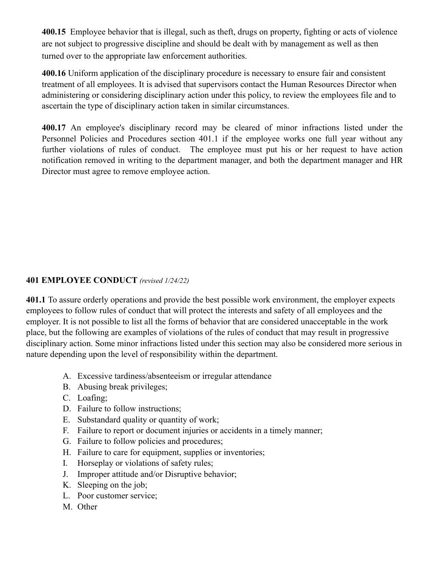**400.15** Employee behavior that is illegal, such as theft, drugs on property, fighting or acts of violence are not subject to progressive discipline and should be dealt with by management as well as then turned over to the appropriate law enforcement authorities.

**400.16** Uniform application of the disciplinary procedure is necessary to ensure fair and consistent treatment of all employees. It is advised that supervisors contact the Human Resources Director when administering or considering disciplinary action under this policy, to review the employees file and to ascertain the type of disciplinary action taken in similar circumstances.

**400.17** An employee's disciplinary record may be cleared of minor infractions listed under the Personnel Policies and Procedures section 401.1 if the employee works one full year without any further violations of rules of conduct. The employee must put his or her request to have action notification removed in writing to the department manager, and both the department manager and HR Director must agree to remove employee action.

# **401 EMPLOYEE CONDUCT** *(revised 1/24/22)*

**401.1** To assure orderly operations and provide the best possible work environment, the employer expects employees to follow rules of conduct that will protect the interests and safety of all employees and the employer. It is not possible to list all the forms of behavior that are considered unacceptable in the work place, but the following are examples of violations of the rules of conduct that may result in progressive disciplinary action. Some minor infractions listed under this section may also be considered more serious in nature depending upon the level of responsibility within the department.

- A. Excessive tardiness/absenteeism or irregular attendance
- B. Abusing break privileges;
- C. Loafing;
- D. Failure to follow instructions;
- E. Substandard quality or quantity of work;
- F. Failure to report or document injuries or accidents in a timely manner;
- G. Failure to follow policies and procedures;
- H. Failure to care for equipment, supplies or inventories;
- I. Horseplay or violations of safety rules;
- J. Improper attitude and/or Disruptive behavior;
- K. Sleeping on the job;
- L. Poor customer service;
- M. Other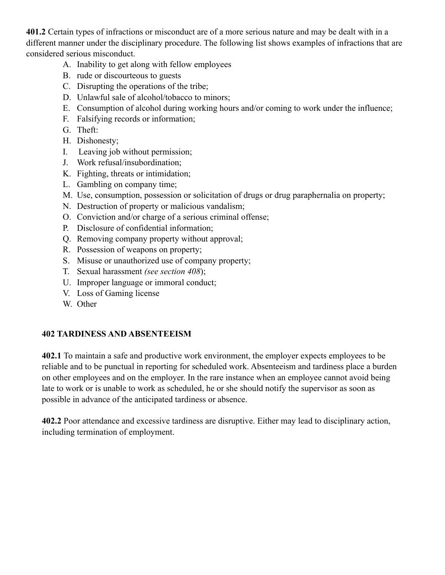**401.2** Certain types of infractions or misconduct are of a more serious nature and may be dealt with in a different manner under the disciplinary procedure. The following list shows examples of infractions that are considered serious misconduct.

- A. Inability to get along with fellow employees
- B. rude or discourteous to guests
- C. Disrupting the operations of the tribe;
- D. Unlawful sale of alcohol/tobacco to minors;
- E. Consumption of alcohol during working hours and/or coming to work under the influence;
- F. Falsifying records or information;
- G. Theft:
- H. Dishonesty;
- I. Leaving job without permission;
- J. Work refusal/insubordination;
- K. Fighting, threats or intimidation;
- L. Gambling on company time;
- M. Use, consumption, possession or solicitation of drugs or drug paraphernalia on property;
- N. Destruction of property or malicious vandalism;
- O. Conviction and/or charge of a serious criminal offense;
- P. Disclosure of confidential information;
- Q. Removing company property without approval;
- R. Possession of weapons on property;
- S. Misuse or unauthorized use of company property;
- T. Sexual harassment *(see section 408*);
- U. Improper language or immoral conduct;
- V. Loss of Gaming license
- W. Other

#### **402 TARDINESS AND ABSENTEEISM**

**402.1** To maintain a safe and productive work environment, the employer expects employees to be reliable and to be punctual in reporting for scheduled work. Absenteeism and tardiness place a burden on other employees and on the employer. In the rare instance when an employee cannot avoid being late to work or is unable to work as scheduled, he or she should notify the supervisor as soon as possible in advance of the anticipated tardiness or absence.

**402.2** Poor attendance and excessive tardiness are disruptive. Either may lead to disciplinary action, including termination of employment.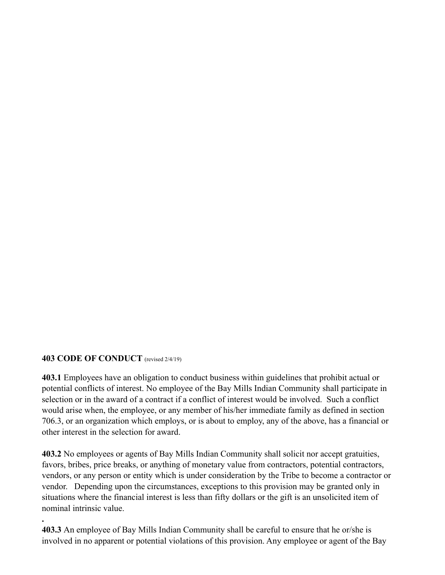#### **403 CODE OF CONDUCT** (revised 2/4/19)

**.**

**403.1** Employees have an obligation to conduct business within guidelines that prohibit actual or potential conflicts of interest. No employee of the Bay Mills Indian Community shall participate in selection or in the award of a contract if a conflict of interest would be involved. Such a conflict would arise when, the employee, or any member of his/her immediate family as defined in section 706.3, or an organization which employs, or is about to employ, any of the above, has a financial or other interest in the selection for award.

**403.2** No employees or agents of Bay Mills Indian Community shall solicit nor accept gratuities, favors, bribes, price breaks, or anything of monetary value from contractors, potential contractors, vendors, or any person or entity which is under consideration by the Tribe to become a contractor or vendor. Depending upon the circumstances, exceptions to this provision may be granted only in situations where the financial interest is less than fifty dollars or the gift is an unsolicited item of nominal intrinsic value.

**403.3** An employee of Bay Mills Indian Community shall be careful to ensure that he or/she is involved in no apparent or potential violations of this provision. Any employee or agent of the Bay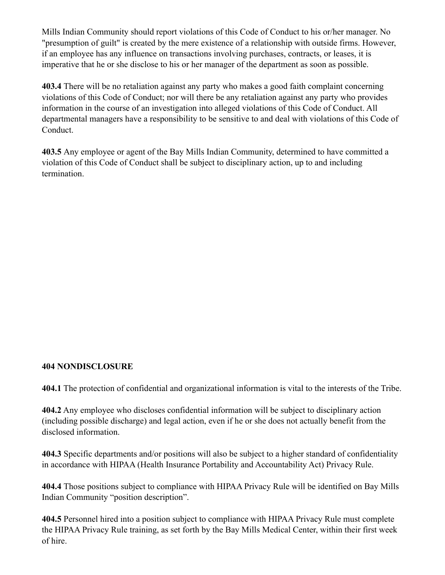Mills Indian Community should report violations of this Code of Conduct to his or/her manager. No "presumption of guilt" is created by the mere existence of a relationship with outside firms. However, if an employee has any influence on transactions involving purchases, contracts, or leases, it is imperative that he or she disclose to his or her manager of the department as soon as possible.

**403.4** There will be no retaliation against any party who makes a good faith complaint concerning violations of this Code of Conduct; nor will there be any retaliation against any party who provides information in the course of an investigation into alleged violations of this Code of Conduct. All departmental managers have a responsibility to be sensitive to and deal with violations of this Code of Conduct.

**403.5** Any employee or agent of the Bay Mills Indian Community, determined to have committed a violation of this Code of Conduct shall be subject to disciplinary action, up to and including termination.

#### **404 NONDISCLOSURE**

**404.1** The protection of confidential and organizational information is vital to the interests of the Tribe.

**404.2** Any employee who discloses confidential information will be subject to disciplinary action (including possible discharge) and legal action, even if he or she does not actually benefit from the disclosed information.

**404.3** Specific departments and/or positions will also be subject to a higher standard of confidentiality in accordance with HIPAA (Health Insurance Portability and Accountability Act) Privacy Rule.

**404.4** Those positions subject to compliance with HIPAA Privacy Rule will be identified on Bay Mills Indian Community "position description".

**404.5** Personnel hired into a position subject to compliance with HIPAA Privacy Rule must complete the HIPAA Privacy Rule training, as set forth by the Bay Mills Medical Center, within their first week of hire.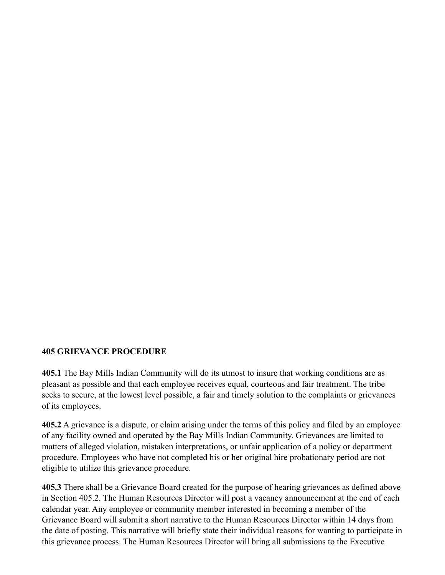### **405 GRIEVANCE PROCEDURE**

**405.1** The Bay Mills Indian Community will do its utmost to insure that working conditions are as pleasant as possible and that each employee receives equal, courteous and fair treatment. The tribe seeks to secure, at the lowest level possible, a fair and timely solution to the complaints or grievances of its employees.

**405.2** A grievance is a dispute, or claim arising under the terms of this policy and filed by an employee of any facility owned and operated by the Bay Mills Indian Community. Grievances are limited to matters of alleged violation, mistaken interpretations, or unfair application of a policy or department procedure. Employees who have not completed his or her original hire probationary period are not eligible to utilize this grievance procedure.

**405.3** There shall be a Grievance Board created for the purpose of hearing grievances as defined above in Section 405.2. The Human Resources Director will post a vacancy announcement at the end of each calendar year. Any employee or community member interested in becoming a member of the Grievance Board will submit a short narrative to the Human Resources Director within 14 days from the date of posting. This narrative will briefly state their individual reasons for wanting to participate in this grievance process. The Human Resources Director will bring all submissions to the Executive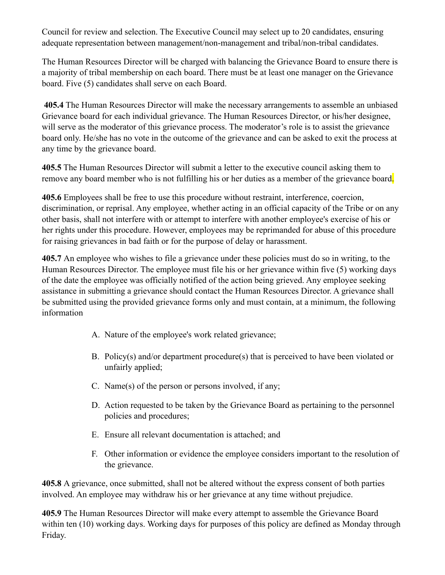Council for review and selection. The Executive Council may select up to 20 candidates, ensuring adequate representation between management/non-management and tribal/non-tribal candidates.

The Human Resources Director will be charged with balancing the Grievance Board to ensure there is a majority of tribal membership on each board. There must be at least one manager on the Grievance board. Five (5) candidates shall serve on each Board.

 **405.4** The Human Resources Director will make the necessary arrangements to assemble an unbiased Grievance board for each individual grievance. The Human Resources Director, or his/her designee, will serve as the moderator of this grievance process. The moderator's role is to assist the grievance board only. He/she has no vote in the outcome of the grievance and can be asked to exit the process at any time by the grievance board.

**405.5** The Human Resources Director will submit a letter to the executive council asking them to remove any board member who is not fulfilling his or her duties as a member of the grievance board.

**405.6** Employees shall be free to use this procedure without restraint, interference, coercion, discrimination, or reprisal. Any employee, whether acting in an official capacity of the Tribe or on any other basis, shall not interfere with or attempt to interfere with another employee's exercise of his or her rights under this procedure. However, employees may be reprimanded for abuse of this procedure for raising grievances in bad faith or for the purpose of delay or harassment.

**405.7** An employee who wishes to file a grievance under these policies must do so in writing, to the Human Resources Director. The employee must file his or her grievance within five (5) working days of the date the employee was officially notified of the action being grieved. Any employee seeking assistance in submitting a grievance should contact the Human Resources Director. A grievance shall be submitted using the provided grievance forms only and must contain, at a minimum, the following information

- A. Nature of the employee's work related grievance;
- B. Policy(s) and/or department procedure(s) that is perceived to have been violated or unfairly applied;
- C. Name(s) of the person or persons involved, if any;
- D. Action requested to be taken by the Grievance Board as pertaining to the personnel policies and procedures;
- E. Ensure all relevant documentation is attached; and
- F. Other information or evidence the employee considers important to the resolution of the grievance.

**405.8** A grievance, once submitted, shall not be altered without the express consent of both parties involved. An employee may withdraw his or her grievance at any time without prejudice.

**405.9** The Human Resources Director will make every attempt to assemble the Grievance Board within ten (10) working days. Working days for purposes of this policy are defined as Monday through Friday.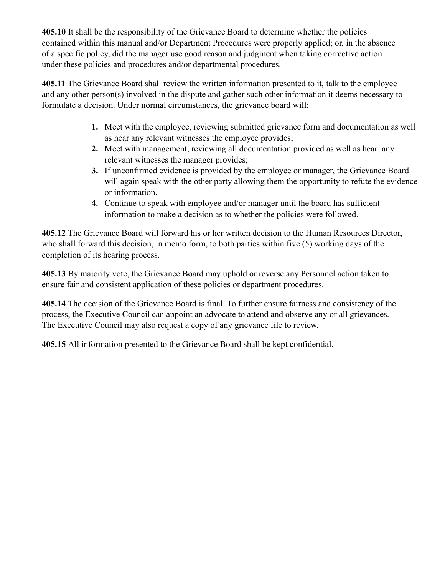**405.10** It shall be the responsibility of the Grievance Board to determine whether the policies contained within this manual and/or Department Procedures were properly applied; or, in the absence of a specific policy, did the manager use good reason and judgment when taking corrective action under these policies and procedures and/or departmental procedures.

**405.11** The Grievance Board shall review the written information presented to it, talk to the employee and any other person(s) involved in the dispute and gather such other information it deems necessary to formulate a decision. Under normal circumstances, the grievance board will:

- **1.** Meet with the employee, reviewing submitted grievance form and documentation as well as hear any relevant witnesses the employee provides;
- **2.** Meet with management, reviewing all documentation provided as well as hear any relevant witnesses the manager provides;
- **3.** If unconfirmed evidence is provided by the employee or manager, the Grievance Board will again speak with the other party allowing them the opportunity to refute the evidence or information.
- **4.** Continue to speak with employee and/or manager until the board has sufficient information to make a decision as to whether the policies were followed.

**405.12** The Grievance Board will forward his or her written decision to the Human Resources Director, who shall forward this decision, in memo form, to both parties within five (5) working days of the completion of its hearing process.

**405.13** By majority vote, the Grievance Board may uphold or reverse any Personnel action taken to ensure fair and consistent application of these policies or department procedures.

**405.14** The decision of the Grievance Board is final. To further ensure fairness and consistency of the process, the Executive Council can appoint an advocate to attend and observe any or all grievances. The Executive Council may also request a copy of any grievance file to review.

**405.15** All information presented to the Grievance Board shall be kept confidential.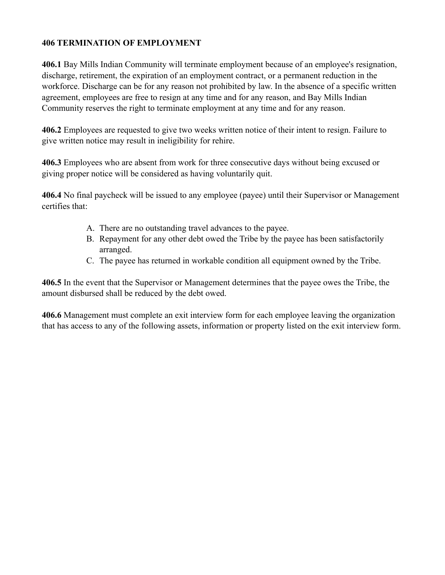### **406 TERMINATION OF EMPLOYMENT**

**406.1** Bay Mills Indian Community will terminate employment because of an employee's resignation, discharge, retirement, the expiration of an employment contract, or a permanent reduction in the workforce. Discharge can be for any reason not prohibited by law. In the absence of a specific written agreement, employees are free to resign at any time and for any reason, and Bay Mills Indian Community reserves the right to terminate employment at any time and for any reason.

**406.2** Employees are requested to give two weeks written notice of their intent to resign. Failure to give written notice may result in ineligibility for rehire.

**406.3** Employees who are absent from work for three consecutive days without being excused or giving proper notice will be considered as having voluntarily quit.

**406.4** No final paycheck will be issued to any employee (payee) until their Supervisor or Management certifies that:

- A. There are no outstanding travel advances to the payee.
- B. Repayment for any other debt owed the Tribe by the payee has been satisfactorily arranged.
- C. The payee has returned in workable condition all equipment owned by the Tribe.

**406.5** In the event that the Supervisor or Management determines that the payee owes the Tribe, the amount disbursed shall be reduced by the debt owed.

**406.6** Management must complete an exit interview form for each employee leaving the organization that has access to any of the following assets, information or property listed on the exit interview form.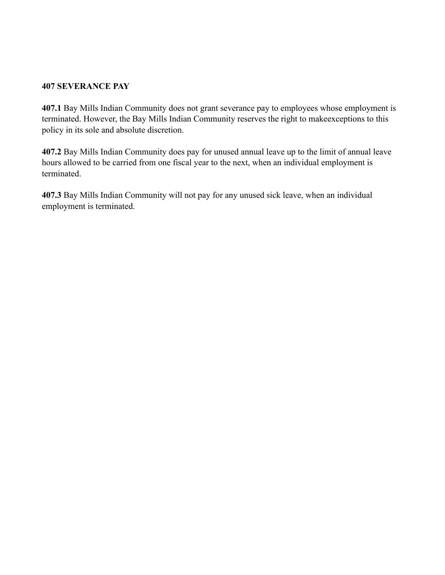#### **407 SEVERANCE PAY**

**407.1** Bay Mills Indian Community does not grant severance pay to employees whose employment is terminated. However, the Bay Mills Indian Community reserves the right to makeexceptions to this policy in its sole and absolute discretion.

**407.2** Bay Mills Indian Community does pay for unused annual leave up to the limit of annual leave hours allowed to be carried from one fiscal year to the next, when an individual employment is terminated.

**407.3** Bay Mills Indian Community will not pay for any unused sick leave, when an individual employment is terminated.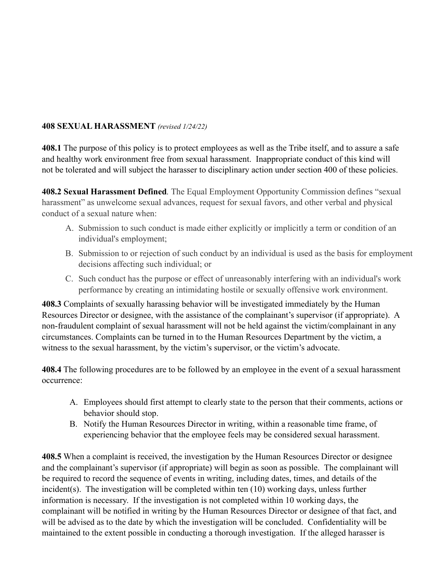### **408 SEXUAL HARASSMENT** *(revised 1/24/22)*

**408.1** The purpose of this policy is to protect employees as well as the Tribe itself, and to assure a safe and healthy work environment free from sexual harassment. Inappropriate conduct of this kind will not be tolerated and will subject the harasser to disciplinary action under section 400 of these policies.

**408.2 Sexual Harassment Defined***.* The Equal Employment Opportunity Commission defines "sexual harassment" as unwelcome sexual advances, request for sexual favors, and other verbal and physical conduct of a sexual nature when:

- A. Submission to such conduct is made either explicitly or implicitly a term or condition of an individual's employment;
- B. Submission to or rejection of such conduct by an individual is used as the basis for employment decisions affecting such individual; or
- C. Such conduct has the purpose or effect of unreasonably interfering with an individual's work performance by creating an intimidating hostile or sexually offensive work environment.

**408.3** Complaints of sexually harassing behavior will be investigated immediately by the Human Resources Director or designee, with the assistance of the complainant's supervisor (if appropriate). A non-fraudulent complaint of sexual harassment will not be held against the victim/complainant in any circumstances. Complaints can be turned in to the Human Resources Department by the victim, a witness to the sexual harassment, by the victim's supervisor, or the victim's advocate.

**408.4** The following procedures are to be followed by an employee in the event of a sexual harassment occurrence:

- A. Employees should first attempt to clearly state to the person that their comments, actions or behavior should stop.
- B. Notify the Human Resources Director in writing, within a reasonable time frame, of experiencing behavior that the employee feels may be considered sexual harassment.

**408.5** When a complaint is received, the investigation by the Human Resources Director or designee and the complainant's supervisor (if appropriate) will begin as soon as possible. The complainant will be required to record the sequence of events in writing, including dates, times, and details of the incident(s). The investigation will be completed within ten (10) working days, unless further information is necessary. If the investigation is not completed within 10 working days, the complainant will be notified in writing by the Human Resources Director or designee of that fact, and will be advised as to the date by which the investigation will be concluded. Confidentiality will be maintained to the extent possible in conducting a thorough investigation. If the alleged harasser is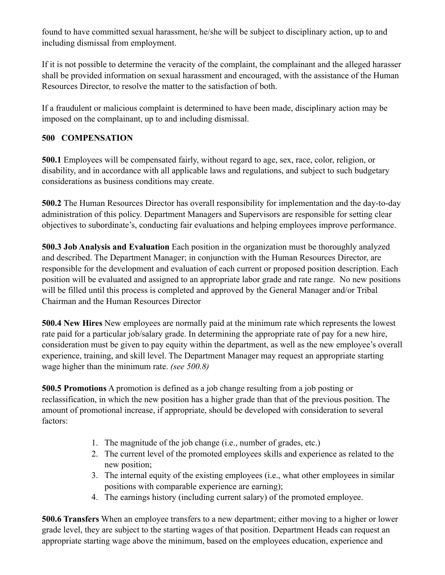found to have committed sexual harassment, he/she will be subject to disciplinary action, up to and including dismissal from employment.

If it is not possible to determine the veracity of the complaint, the complainant and the alleged harasser shall be provided information on sexual harassment and encouraged, with the assistance of the Human Resources Director, to resolve the matter to the satisfaction of both.

If a fraudulent or malicious complaint is determined to have been made, disciplinary action may be imposed on the complainant, up to and including dismissal.

# **500 COMPENSATION**

**500.1** Employees will be compensated fairly, without regard to age, sex, race, color, religion, or disability, and in accordance with all applicable laws and regulations, and subject to such budgetary considerations as business conditions may create.

**500.2** The Human Resources Director has overall responsibility for implementation and the day-to-day administration of this policy. Department Managers and Supervisors are responsible for setting clear objectives to subordinate's, conducting fair evaluations and helping employees improve performance.

**500.3 Job Analysis and Evaluation** Each position in the organization must be thoroughly analyzed and described. The Department Manager; in conjunction with the Human Resources Director, are responsible for the development and evaluation of each current or proposed position description. Each position will be evaluated and assigned to an appropriate labor grade and rate range. No new positions will be filled until this process is completed and approved by the General Manager and/or Tribal Chairman and the Human Resources Director

**500.4 New Hires** New employees are normally paid at the minimum rate which represents the lowest rate paid for a particular job/salary grade. In determining the appropriate rate of pay for a new hire, consideration must be given to pay equity within the department, as well as the new employee's overall experience, training, and skill level. The Department Manager may request an appropriate starting wage higher than the minimum rate. *(see 500.8)*

**500.5 Promotions** A promotion is defined as a job change resulting from a job posting or reclassification, in which the new position has a higher grade than that of the previous position. The amount of promotional increase, if appropriate, should be developed with consideration to several factors:

- 1. The magnitude of the job change (i.e., number of grades, etc.)
- 2. The current level of the promoted employees skills and experience as related to the new position;
- 3. The internal equity of the existing employees (i.e., what other employees in similar positions with comparable experience are earning);
- 4. The earnings history (including current salary) of the promoted employee.

**500.6 Transfers** When an employee transfers to a new department; either moving to a higher or lower grade level, they are subject to the starting wages of that position. Department Heads can request an appropriate starting wage above the minimum, based on the employees education, experience and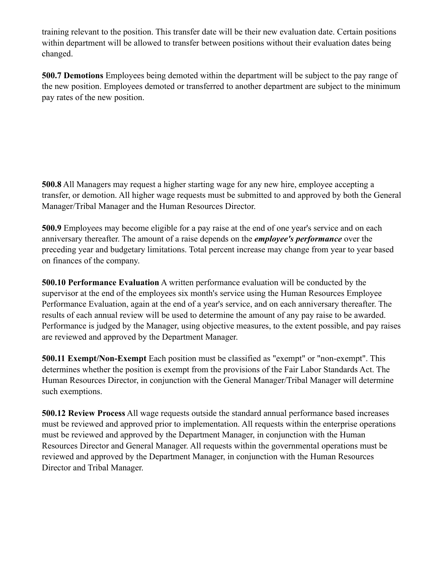training relevant to the position. This transfer date will be their new evaluation date. Certain positions within department will be allowed to transfer between positions without their evaluation dates being changed.

**500.7 Demotions** Employees being demoted within the department will be subject to the pay range of the new position. Employees demoted or transferred to another department are subject to the minimum pay rates of the new position.

**500.8** All Managers may request a higher starting wage for any new hire, employee accepting a transfer, or demotion. All higher wage requests must be submitted to and approved by both the General Manager/Tribal Manager and the Human Resources Director.

**500.9** Employees may become eligible for a pay raise at the end of one year's service and on each anniversary thereafter. The amount of a raise depends on the *employee's performance* over the preceding year and budgetary limitations. Total percent increase may change from year to year based on finances of the company.

**500.10 Performance Evaluation** A written performance evaluation will be conducted by the supervisor at the end of the employees six month's service using the Human Resources Employee Performance Evaluation, again at the end of a year's service, and on each anniversary thereafter. The results of each annual review will be used to determine the amount of any pay raise to be awarded. Performance is judged by the Manager, using objective measures, to the extent possible, and pay raises are reviewed and approved by the Department Manager.

**500.11 Exempt/Non-Exempt** Each position must be classified as "exempt" or "non-exempt". This determines whether the position is exempt from the provisions of the Fair Labor Standards Act. The Human Resources Director, in conjunction with the General Manager/Tribal Manager will determine such exemptions.

**500.12 Review Process** All wage requests outside the standard annual performance based increases must be reviewed and approved prior to implementation. All requests within the enterprise operations must be reviewed and approved by the Department Manager, in conjunction with the Human Resources Director and General Manager. All requests within the governmental operations must be reviewed and approved by the Department Manager, in conjunction with the Human Resources Director and Tribal Manager.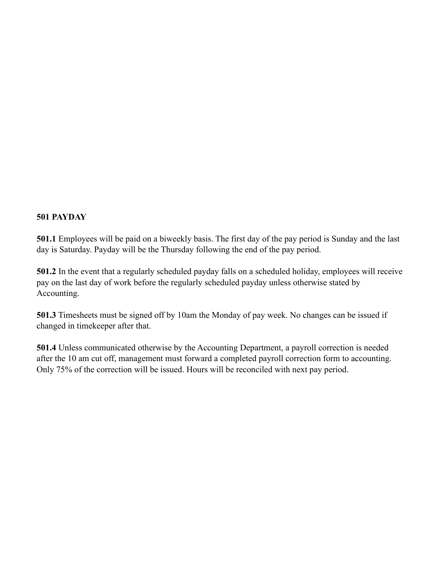# **501 PAYDAY**

**501.1** Employees will be paid on a biweekly basis. The first day of the pay period is Sunday and the last day is Saturday. Payday will be the Thursday following the end of the pay period.

**501.2** In the event that a regularly scheduled payday falls on a scheduled holiday, employees will receive pay on the last day of work before the regularly scheduled payday unless otherwise stated by Accounting.

**501.3** Timesheets must be signed off by 10am the Monday of pay week. No changes can be issued if changed in timekeeper after that.

**501.4** Unless communicated otherwise by the Accounting Department, a payroll correction is needed after the 10 am cut off, management must forward a completed payroll correction form to accounting. Only 75% of the correction will be issued. Hours will be reconciled with next pay period.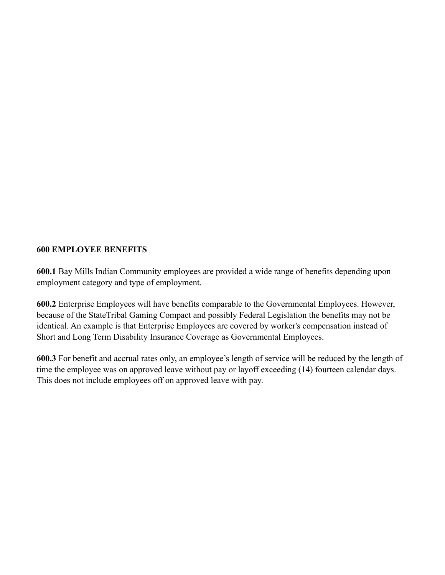### **600 EMPLOYEE BENEFITS**

**600.1** Bay Mills Indian Community employees are provided a wide range of benefits depending upon employment category and type of employment.

**600.2** Enterprise Employees will have benefits comparable to the Governmental Employees. However, because of the StateTribal Gaming Compact and possibly Federal Legislation the benefits may not be identical. An example is that Enterprise Employees are covered by worker's compensation instead of Short and Long Term Disability Insurance Coverage as Governmental Employees.

**600.3** For benefit and accrual rates only, an employee's length of service will be reduced by the length of time the employee was on approved leave without pay or layoff exceeding (14) fourteen calendar days. This does not include employees off on approved leave with pay.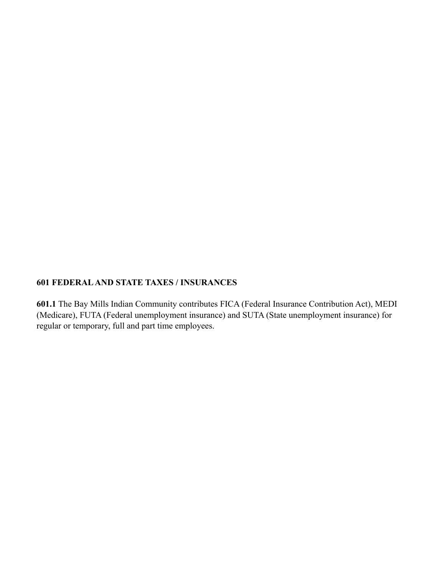#### **601 FEDERAL AND STATE TAXES / INSURANCES**

**601.1** The Bay Mills Indian Community contributes FICA (Federal Insurance Contribution Act), MEDI (Medicare), FUTA (Federal unemployment insurance) and SUTA (State unemployment insurance) for regular or temporary, full and part time employees.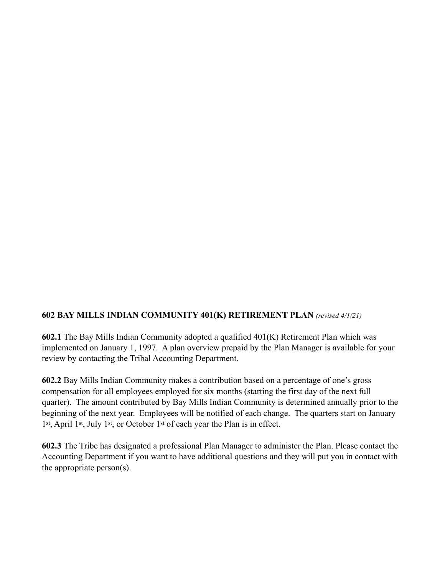### **602 BAY MILLS INDIAN COMMUNITY 401(K) RETIREMENT PLAN** *(revised 4/1/21)*

**602.1** The Bay Mills Indian Community adopted a qualified 401(K) Retirement Plan which was implemented on January 1, 1997. A plan overview prepaid by the Plan Manager is available for your review by contacting the Tribal Accounting Department.

**602.2** Bay Mills Indian Community makes a contribution based on a percentage of one's gross compensation for all employees employed for six months (starting the first day of the next full quarter). The amount contributed by Bay Mills Indian Community is determined annually prior to the beginning of the next year. Employees will be notified of each change. The quarters start on January 1st, April 1st, July 1st, or October 1st of each year the Plan is in effect.

**602.3** The Tribe has designated a professional Plan Manager to administer the Plan. Please contact the Accounting Department if you want to have additional questions and they will put you in contact with the appropriate person(s).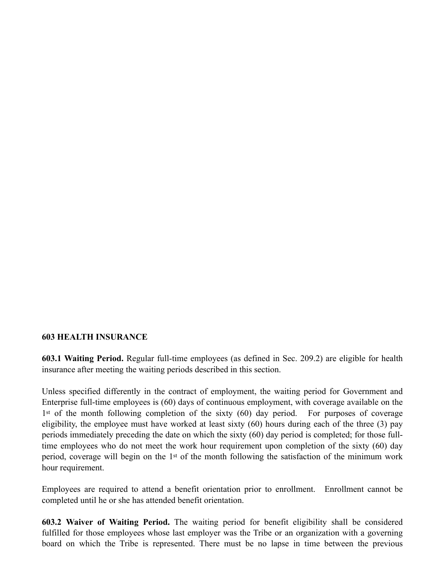#### **603 HEALTH INSURANCE**

**603.1 Waiting Period.** Regular full-time employees (as defined in Sec. 209.2) are eligible for health insurance after meeting the waiting periods described in this section.

Unless specified differently in the contract of employment, the waiting period for Government and Enterprise full-time employees is (60) days of continuous employment, with coverage available on the 1st of the month following completion of the sixty (60) day period. For purposes of coverage eligibility, the employee must have worked at least sixty (60) hours during each of the three (3) pay periods immediately preceding the date on which the sixty (60) day period is completed; for those fulltime employees who do not meet the work hour requirement upon completion of the sixty (60) day period, coverage will begin on the 1st of the month following the satisfaction of the minimum work hour requirement.

Employees are required to attend a benefit orientation prior to enrollment. Enrollment cannot be completed until he or she has attended benefit orientation.

**603.2 Waiver of Waiting Period.** The waiting period for benefit eligibility shall be considered fulfilled for those employees whose last employer was the Tribe or an organization with a governing board on which the Tribe is represented. There must be no lapse in time between the previous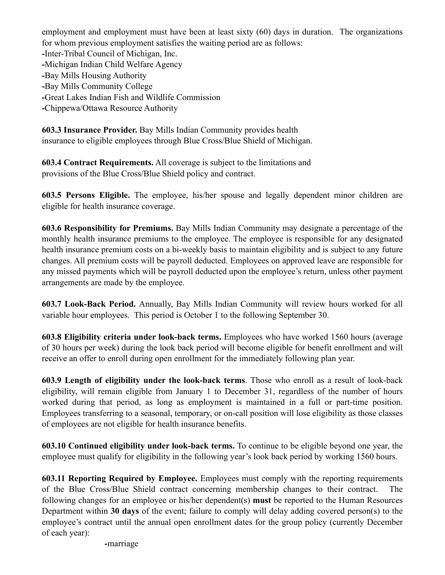employment and employment must have been at least sixty (60) days in duration. The organizations for whom previous employment satisfies the waiting period are as follows: **-**Inter-Tribal Council of Michigan, Inc. **-**Michigan Indian Child Welfare Agency **-**Bay Mills Housing Authority **-**Bay Mills Community College **-**Great Lakes Indian Fish and Wildlife Commission **-**Chippewa/Ottawa Resource Authority

**603.3 Insurance Provider.** Bay Mills Indian Community provides health insurance to eligible employees through Blue Cross/Blue Shield of Michigan.

**603.4 Contract Requirements.** All coverage is subject to the limitations and provisions of the Blue Cross/Blue Shield policy and contract.

**603.5 Persons Eligible.** The employee, his/her spouse and legally dependent minor children are eligible for health insurance coverage.

**603.6 Responsibility for Premiums.** Bay Mills Indian Community may designate a percentage of the monthly health insurance premiums to the employee. The employee is responsible for any designated health insurance premium costs on a bi-weekly basis to maintain eligibility and is subject to any future changes. All premium costs will be payroll deducted. Employees on approved leave are responsible for any missed payments which will be payroll deducted upon the employee's return, unless other payment arrangements are made by the employee.

**603.7 Look-Back Period.** Annually, Bay Mills Indian Community will review hours worked for all variable hour employees. This period is October 1 to the following September 30.

**603.8 Eligibility criteria under look-back terms.** Employees who have worked 1560 hours (average of 30 hours per week) during the look back period will become eligible for benefit enrollment and will receive an offer to enroll during open enrollment for the immediately following plan year.

**603.9 Length of eligibility under the look-back terms**. Those who enroll as a result of look-back eligibility, will remain eligible from January 1 to December 31, regardless of the number of hours worked during that period, as long as employment is maintained in a full or part-time position. Employees transferring to a seasonal, temporary, or on-call position will lose eligibility as those classes of employees are not eligible for health insurance benefits.

**603.10 Continued eligibility under look-back terms.** To continue to be eligible beyond one year, the employee must qualify for eligibility in the following year's look back period by working 1560 hours.

**603.11 Reporting Required by Employee.** Employees must comply with the reporting requirements of the Blue Cross/Blue Shield contract concerning membership changes to their contract. The following changes for an employee or his/her dependent(s) **must** be reported to the Human Resources Department within **30 days** of the event; failure to comply will delay adding covered person(s) to the employee's contract until the annual open enrollment dates for the group policy (currently December of each year):

**-**marriage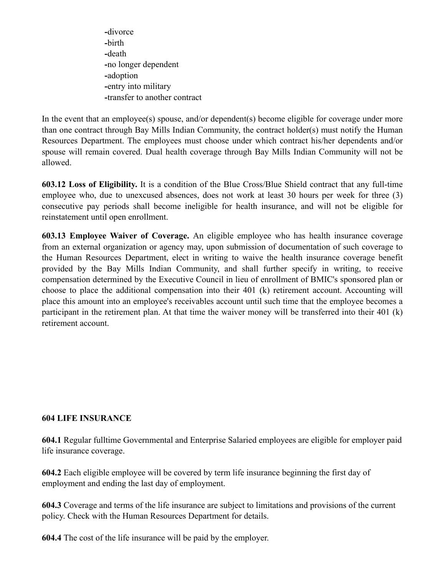**-**divorce **-**birth **-**death **-**no longer dependent **-**adoption **-**entry into military **-**transfer to another contract

In the event that an employee(s) spouse, and/or dependent(s) become eligible for coverage under more than one contract through Bay Mills Indian Community, the contract holder(s) must notify the Human Resources Department. The employees must choose under which contract his/her dependents and/or spouse will remain covered. Dual health coverage through Bay Mills Indian Community will not be allowed.

**603.12 Loss of Eligibility.** It is a condition of the Blue Cross/Blue Shield contract that any full-time employee who, due to unexcused absences, does not work at least 30 hours per week for three (3) consecutive pay periods shall become ineligible for health insurance, and will not be eligible for reinstatement until open enrollment.

**603.13 Employee Waiver of Coverage.** An eligible employee who has health insurance coverage from an external organization or agency may, upon submission of documentation of such coverage to the Human Resources Department, elect in writing to waive the health insurance coverage benefit provided by the Bay Mills Indian Community, and shall further specify in writing, to receive compensation determined by the Executive Council in lieu of enrollment of BMIC's sponsored plan or choose to place the additional compensation into their 401 (k) retirement account. Accounting will place this amount into an employee's receivables account until such time that the employee becomes a participant in the retirement plan. At that time the waiver money will be transferred into their 401 (k) retirement account.

### **604 LIFE INSURANCE**

**604.1** Regular fulltime Governmental and Enterprise Salaried employees are eligible for employer paid life insurance coverage.

**604.2** Each eligible employee will be covered by term life insurance beginning the first day of employment and ending the last day of employment.

**604.3** Coverage and terms of the life insurance are subject to limitations and provisions of the current policy. Check with the Human Resources Department for details.

**604.4** The cost of the life insurance will be paid by the employer.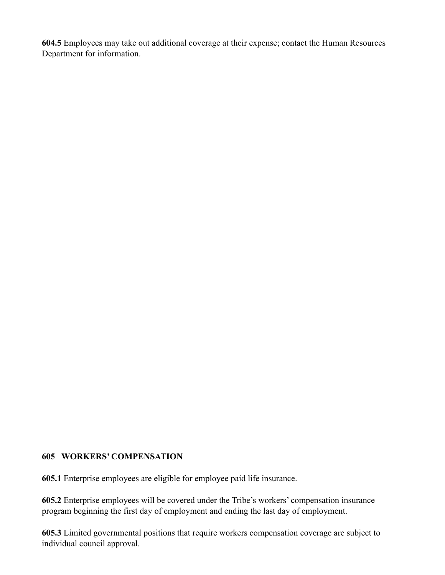**604.5** Employees may take out additional coverage at their expense; contact the Human Resources Department for information.

### **605 WORKERS' COMPENSATION**

**605.1** Enterprise employees are eligible for employee paid life insurance.

**605.2** Enterprise employees will be covered under the Tribe's workers' compensation insurance program beginning the first day of employment and ending the last day of employment.

**605.3** Limited governmental positions that require workers compensation coverage are subject to individual council approval.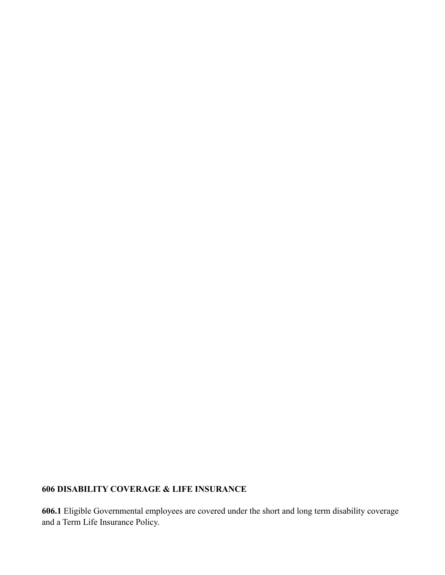# **606 DISABILITY COVERAGE & LIFE INSURANCE**

**606.1** Eligible Governmental employees are covered under the short and long term disability coverage and a Term Life Insurance Policy.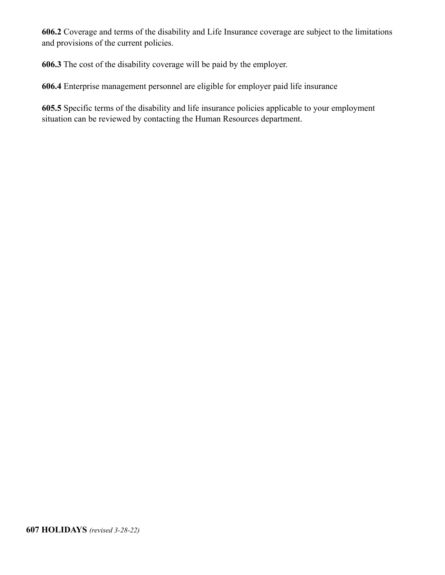**606.2** Coverage and terms of the disability and Life Insurance coverage are subject to the limitations and provisions of the current policies.

**606.3** The cost of the disability coverage will be paid by the employer.

**606.4** Enterprise management personnel are eligible for employer paid life insurance

**605.5** Specific terms of the disability and life insurance policies applicable to your employment situation can be reviewed by contacting the Human Resources department.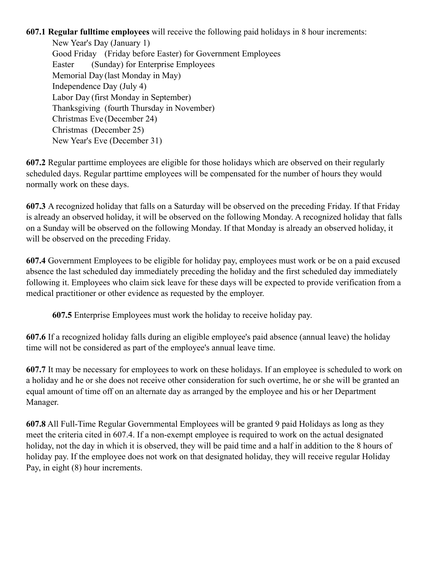**607.1 Regular fulltime employees** will receive the following paid holidays in 8 hour increments:

New Year's Day (January 1) Good Friday (Friday before Easter) for Government Employees Easter (Sunday) for Enterprise Employees Memorial Day (last Monday in May) Independence Day (July 4) Labor Day (first Monday in September) Thanksgiving (fourth Thursday in November) Christmas Eve (December 24) Christmas (December 25) New Year's Eve (December 31)

**607.2** Regular parttime employees are eligible for those holidays which are observed on their regularly scheduled days. Regular parttime employees will be compensated for the number of hours they would normally work on these days.

**607.3** A recognized holiday that falls on a Saturday will be observed on the preceding Friday. If that Friday is already an observed holiday, it will be observed on the following Monday. A recognized holiday that falls on a Sunday will be observed on the following Monday. If that Monday is already an observed holiday, it will be observed on the preceding Friday.

**607.4** Government Employees to be eligible for holiday pay, employees must work or be on a paid excused absence the last scheduled day immediately preceding the holiday and the first scheduled day immediately following it. Employees who claim sick leave for these days will be expected to provide verification from a medical practitioner or other evidence as requested by the employer.

 **607.5** Enterprise Employees must work the holiday to receive holiday pay.

**607.6** If a recognized holiday falls during an eligible employee's paid absence (annual leave) the holiday time will not be considered as part of the employee's annual leave time.

**607.7** It may be necessary for employees to work on these holidays. If an employee is scheduled to work on a holiday and he or she does not receive other consideration for such overtime, he or she will be granted an equal amount of time off on an alternate day as arranged by the employee and his or her Department Manager.

**607.8** All Full-Time Regular Governmental Employees will be granted 9 paid Holidays as long as they meet the criteria cited in 607.4. If a non-exempt employee is required to work on the actual designated holiday, not the day in which it is observed, they will be paid time and a half in addition to the 8 hours of holiday pay. If the employee does not work on that designated holiday, they will receive regular Holiday Pay, in eight (8) hour increments.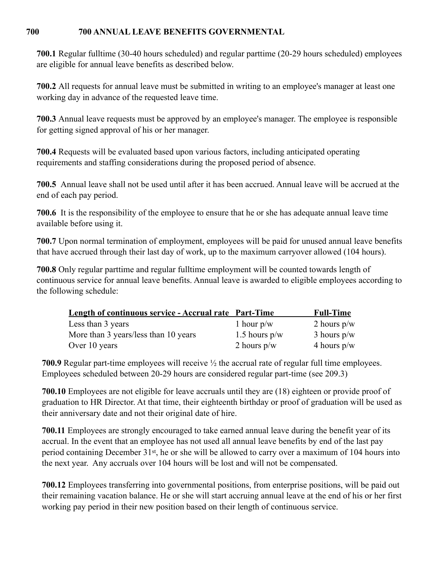### **700 700 ANNUAL LEAVE BENEFITS GOVERNMENTAL**

**700.1** Regular fulltime (30-40 hours scheduled) and regular parttime (20-29 hours scheduled) employees are eligible for annual leave benefits as described below.

**700.2** All requests for annual leave must be submitted in writing to an employee's manager at least one working day in advance of the requested leave time.

**700.3** Annual leave requests must be approved by an employee's manager. The employee is responsible for getting signed approval of his or her manager.

**700.4** Requests will be evaluated based upon various factors, including anticipated operating requirements and staffing considerations during the proposed period of absence.

**700.5** Annual leave shall not be used until after it has been accrued. Annual leave will be accrued at the end of each pay period.

**700.6** It is the responsibility of the employee to ensure that he or she has adequate annual leave time available before using it.

**700.7** Upon normal termination of employment, employees will be paid for unused annual leave benefits that have accrued through their last day of work, up to the maximum carryover allowed (104 hours).

**700.8** Only regular parttime and regular fulltime employment will be counted towards length of continuous service for annual leave benefits. Annual leave is awarded to eligible employees according to the following schedule:

| <b>Length of continuous service - Accrual rate Part-Time</b> |                 | <b>Full-Time</b> |
|--------------------------------------------------------------|-----------------|------------------|
| Less than 3 years                                            | 1 hour $p/w$    | 2 hours $p/w$    |
| More than 3 years/less than 10 years                         | 1.5 hours $p/w$ | 3 hours $p/w$    |
| Over 10 years                                                | 2 hours $p/w$   | 4 hours $p/w$    |

**700.9** Regular part-time employees will receive ½ the accrual rate of regular full time employees. Employees scheduled between 20-29 hours are considered regular part-time (see 209.3)

**700.10** Employees are not eligible for leave accruals until they are (18) eighteen or provide proof of graduation to HR Director. At that time, their eighteenth birthday or proof of graduation will be used as their anniversary date and not their original date of hire.

**700.11** Employees are strongly encouraged to take earned annual leave during the benefit year of its accrual. In the event that an employee has not used all annual leave benefits by end of the last pay period containing December 31st, he or she will be allowed to carry over a maximum of 104 hours into the next year. Any accruals over 104 hours will be lost and will not be compensated.

**700.12** Employees transferring into governmental positions, from enterprise positions, will be paid out their remaining vacation balance. He or she will start accruing annual leave at the end of his or her first working pay period in their new position based on their length of continuous service.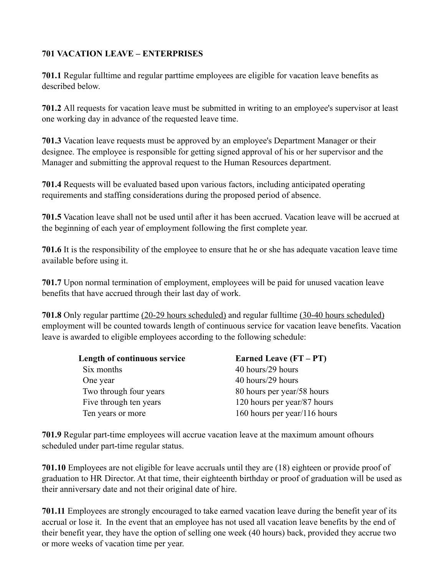# **701 VACATION LEAVE – ENTERPRISES**

**701.1** Regular fulltime and regular parttime employees are eligible for vacation leave benefits as described below.

**701.2** All requests for vacation leave must be submitted in writing to an employee's supervisor at least one working day in advance of the requested leave time.

**701.3** Vacation leave requests must be approved by an employee's Department Manager or their designee. The employee is responsible for getting signed approval of his or her supervisor and the Manager and submitting the approval request to the Human Resources department.

**701.4** Requests will be evaluated based upon various factors, including anticipated operating requirements and staffing considerations during the proposed period of absence.

**701.5** Vacation leave shall not be used until after it has been accrued. Vacation leave will be accrued at the beginning of each year of employment following the first complete year.

**701.6** It is the responsibility of the employee to ensure that he or she has adequate vacation leave time available before using it.

**701.7** Upon normal termination of employment, employees will be paid for unused vacation leave benefits that have accrued through their last day of work.

**701.8** Only regular parttime (20-29 hours scheduled) and regular fulltime (30-40 hours scheduled) employment will be counted towards length of continuous service for vacation leave benefits. Vacation leave is awarded to eligible employees according to the following schedule:

| Earned Leave (FT – PT)       |
|------------------------------|
| 40 hours/29 hours            |
| 40 hours/29 hours            |
| 80 hours per year/58 hours   |
| 120 hours per year/87 hours  |
| 160 hours per year/116 hours |
|                              |

**701.9** Regular part-time employees will accrue vacation leave at the maximum amount ofhours scheduled under part-time regular status.

**701.10** Employees are not eligible for leave accruals until they are (18) eighteen or provide proof of graduation to HR Director. At that time, their eighteenth birthday or proof of graduation will be used as their anniversary date and not their original date of hire.

**701.11** Employees are strongly encouraged to take earned vacation leave during the benefit year of its accrual or lose it. In the event that an employee has not used all vacation leave benefits by the end of their benefit year, they have the option of selling one week (40 hours) back, provided they accrue two or more weeks of vacation time per year.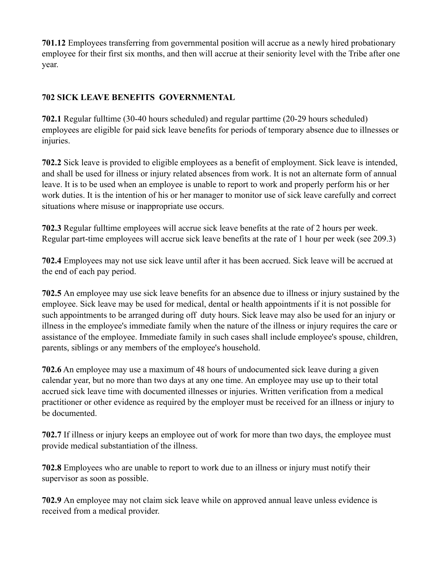**701.12** Employees transferring from governmental position will accrue as a newly hired probationary employee for their first six months, and then will accrue at their seniority level with the Tribe after one year.

# **702 SICK LEAVE BENEFITS GOVERNMENTAL**

**702.1** Regular fulltime (30-40 hours scheduled) and regular parttime (20-29 hours scheduled) employees are eligible for paid sick leave benefits for periods of temporary absence due to illnesses or injuries.

**702.2** Sick leave is provided to eligible employees as a benefit of employment. Sick leave is intended, and shall be used for illness or injury related absences from work. It is not an alternate form of annual leave. It is to be used when an employee is unable to report to work and properly perform his or her work duties. It is the intention of his or her manager to monitor use of sick leave carefully and correct situations where misuse or inappropriate use occurs.

**702.3** Regular fulltime employees will accrue sick leave benefits at the rate of 2 hours per week. Regular part-time employees will accrue sick leave benefits at the rate of 1 hour per week (see 209.3)

**702.4** Employees may not use sick leave until after it has been accrued. Sick leave will be accrued at the end of each pay period.

**702.5** An employee may use sick leave benefits for an absence due to illness or injury sustained by the employee. Sick leave may be used for medical, dental or health appointments if it is not possible for such appointments to be arranged during off duty hours. Sick leave may also be used for an injury or illness in the employee's immediate family when the nature of the illness or injury requires the care or assistance of the employee. Immediate family in such cases shall include employee's spouse, children, parents, siblings or any members of the employee's household.

**702.6** An employee may use a maximum of 48 hours of undocumented sick leave during a given calendar year, but no more than two days at any one time. An employee may use up to their total accrued sick leave time with documented illnesses or injuries. Written verification from a medical practitioner or other evidence as required by the employer must be received for an illness or injury to be documented.

**702.7** If illness or injury keeps an employee out of work for more than two days, the employee must provide medical substantiation of the illness.

**702.8** Employees who are unable to report to work due to an illness or injury must notify their supervisor as soon as possible.

**702.9** An employee may not claim sick leave while on approved annual leave unless evidence is received from a medical provider.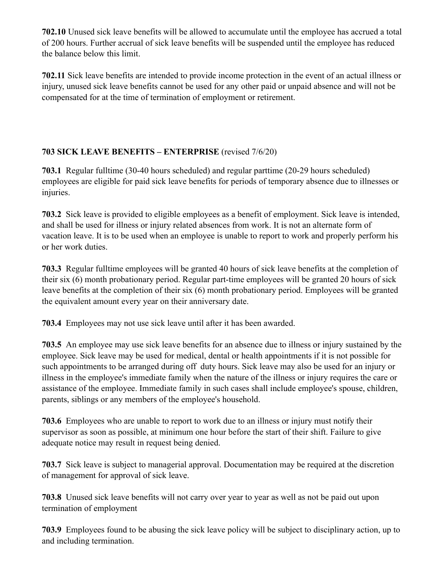**702.10** Unused sick leave benefits will be allowed to accumulate until the employee has accrued a total of 200 hours. Further accrual of sick leave benefits will be suspended until the employee has reduced the balance below this limit.

**702.11** Sick leave benefits are intended to provide income protection in the event of an actual illness or injury, unused sick leave benefits cannot be used for any other paid or unpaid absence and will not be compensated for at the time of termination of employment or retirement.

# **703 SICK LEAVE BENEFITS – ENTERPRISE** (revised 7/6/20)

**703.1** Regular fulltime (30-40 hours scheduled) and regular parttime (20-29 hours scheduled) employees are eligible for paid sick leave benefits for periods of temporary absence due to illnesses or injuries.

**703.2** Sick leave is provided to eligible employees as a benefit of employment. Sick leave is intended, and shall be used for illness or injury related absences from work. It is not an alternate form of vacation leave. It is to be used when an employee is unable to report to work and properly perform his or her work duties.

**703.3** Regular fulltime employees will be granted 40 hours of sick leave benefits at the completion of their six (6) month probationary period. Regular part-time employees will be granted 20 hours of sick leave benefits at the completion of their six (6) month probationary period. Employees will be granted the equivalent amount every year on their anniversary date.

**703.4** Employees may not use sick leave until after it has been awarded.

**703.5** An employee may use sick leave benefits for an absence due to illness or injury sustained by the employee. Sick leave may be used for medical, dental or health appointments if it is not possible for such appointments to be arranged during off duty hours. Sick leave may also be used for an injury or illness in the employee's immediate family when the nature of the illness or injury requires the care or assistance of the employee. Immediate family in such cases shall include employee's spouse, children, parents, siblings or any members of the employee's household.

**703.6** Employees who are unable to report to work due to an illness or injury must notify their supervisor as soon as possible, at minimum one hour before the start of their shift. Failure to give adequate notice may result in request being denied.

**703.7** Sick leave is subject to managerial approval. Documentation may be required at the discretion of management for approval of sick leave.

**703.8** Unused sick leave benefits will not carry over year to year as well as not be paid out upon termination of employment

**703.9** Employees found to be abusing the sick leave policy will be subject to disciplinary action, up to and including termination.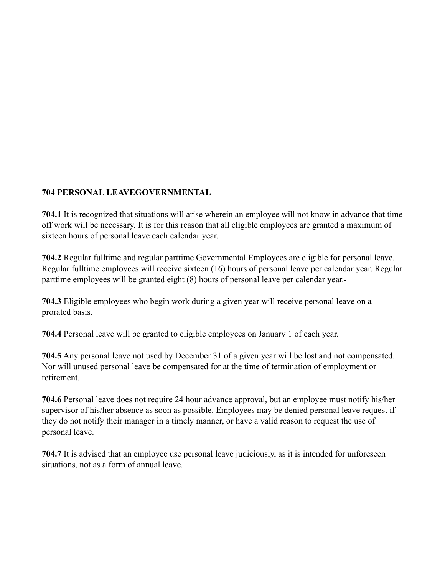### **704 PERSONAL LEAVEGOVERNMENTAL**

**704.1** It is recognized that situations will arise wherein an employee will not know in advance that time off work will be necessary. It is for this reason that all eligible employees are granted a maximum of sixteen hours of personal leave each calendar year.

**704.2** Regular fulltime and regular parttime Governmental Employees are eligible for personal leave. Regular fulltime employees will receive sixteen (16) hours of personal leave per calendar year. Regular parttime employees will be granted eight (8) hours of personal leave per calendar year.

**704.3** Eligible employees who begin work during a given year will receive personal leave on a prorated basis.

**704.4** Personal leave will be granted to eligible employees on January 1 of each year.

**704.5** Any personal leave not used by December 31 of a given year will be lost and not compensated. Nor will unused personal leave be compensated for at the time of termination of employment or retirement.

**704.6** Personal leave does not require 24 hour advance approval, but an employee must notify his/her supervisor of his/her absence as soon as possible. Employees may be denied personal leave request if they do not notify their manager in a timely manner, or have a valid reason to request the use of personal leave.

**704.7** It is advised that an employee use personal leave judiciously, as it is intended for unforeseen situations, not as a form of annual leave.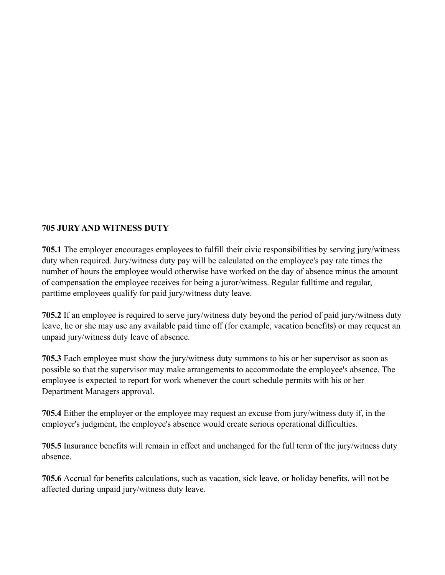### **705 JURY AND WITNESS DUTY**

**705.1** The employer encourages employees to fulfill their civic responsibilities by serving jury/witness duty when required. Jury/witness duty pay will be calculated on the employee's pay rate times the number of hours the employee would otherwise have worked on the day of absence minus the amount of compensation the employee receives for being a juror/witness. Regular fulltime and regular, parttime employees qualify for paid jury/witness duty leave.

**705.2** If an employee is required to serve jury/witness duty beyond the period of paid jury/witness duty leave, he or she may use any available paid time off (for example, vacation benefits) or may request an unpaid jury/witness duty leave of absence.

**705.3** Each employee must show the jury/witness duty summons to his or her supervisor as soon as possible so that the supervisor may make arrangements to accommodate the employee's absence. The employee is expected to report for work whenever the court schedule permits with his or her Department Managers approval.

**705.4** Either the employer or the employee may request an excuse from jury/witness duty if, in the employer's judgment, the employee's absence would create serious operational difficulties.

**705.5** Insurance benefits will remain in effect and unchanged for the full term of the jury/witness duty absence.

**705.6** Accrual for benefits calculations, such as vacation, sick leave, or holiday benefits, will not be affected during unpaid jury/witness duty leave.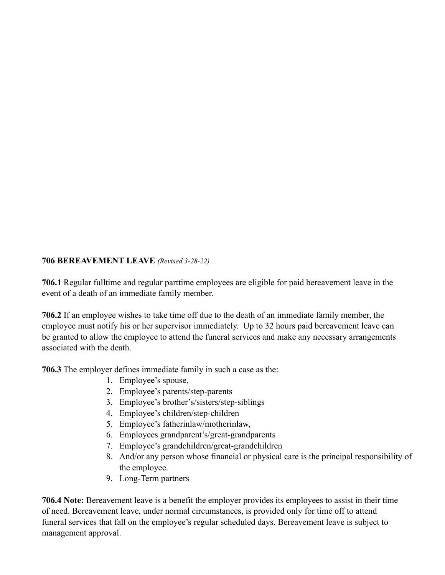### **706 BEREAVEMENT LEAVE** *(Revised 3-28-22)*

**706.1** Regular fulltime and regular parttime employees are eligible for paid bereavement leave in the event of a death of an immediate family member.

**706.2** If an employee wishes to take time off due to the death of an immediate family member, the employee must notify his or her supervisor immediately. Up to 32 hours paid bereavement leave can be granted to allow the employee to attend the funeral services and make any necessary arrangements associated with the death.

**706.3** The employer defines immediate family in such a case as the:

- 1. Employee's spouse,
- 2. Employee's parents/step-parents
- 3. Employee's brother's/sisters/step-siblings
- 4. Employee's children/step-children
- 5. Employee's fatherinlaw/motherinlaw,
- 6. Employees grandparent's/great-grandparents
- 7. Employee's grandchildren/great-grandchildren
- 8. And/or any person whose financial or physical care is the principal responsibility of the employee.
- 9. Long-Term partners

**706.4 Note:** Bereavement leave is a benefit the employer provides its employees to assist in their time of need. Bereavement leave, under normal circumstances, is provided only for time off to attend funeral services that fall on the employee's regular scheduled days. Bereavement leave is subject to management approval.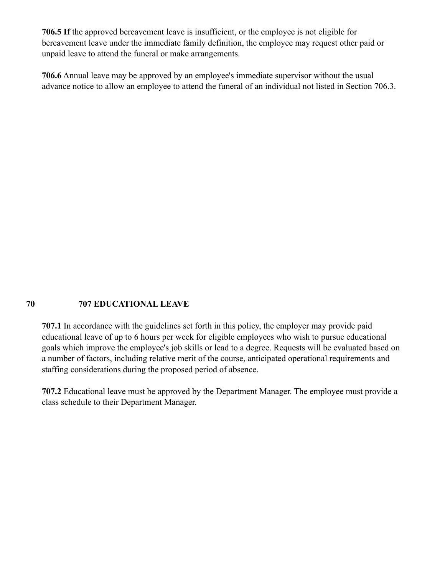**706.5 If** the approved bereavement leave is insufficient, or the employee is not eligible for bereavement leave under the immediate family definition, the employee may request other paid or unpaid leave to attend the funeral or make arrangements.

**706.6** Annual leave may be approved by an employee's immediate supervisor without the usual advance notice to allow an employee to attend the funeral of an individual not listed in Section 706.3.

### **70 707 EDUCATIONAL LEAVE**

**707.1** In accordance with the guidelines set forth in this policy, the employer may provide paid educational leave of up to 6 hours per week for eligible employees who wish to pursue educational goals which improve the employee's job skills or lead to a degree. Requests will be evaluated based on a number of factors, including relative merit of the course, anticipated operational requirements and staffing considerations during the proposed period of absence.

**707.2** Educational leave must be approved by the Department Manager. The employee must provide a class schedule to their Department Manager.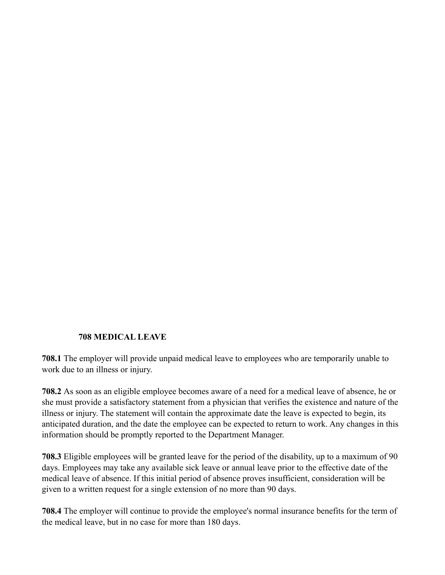#### **708 MEDICAL LEAVE**

**708.1** The employer will provide unpaid medical leave to employees who are temporarily unable to work due to an illness or injury.

**708.2** As soon as an eligible employee becomes aware of a need for a medical leave of absence, he or she must provide a satisfactory statement from a physician that verifies the existence and nature of the illness or injury. The statement will contain the approximate date the leave is expected to begin, its anticipated duration, and the date the employee can be expected to return to work. Any changes in this information should be promptly reported to the Department Manager.

**708.3** Eligible employees will be granted leave for the period of the disability, up to a maximum of 90 days. Employees may take any available sick leave or annual leave prior to the effective date of the medical leave of absence. If this initial period of absence proves insufficient, consideration will be given to a written request for a single extension of no more than 90 days.

**708.4** The employer will continue to provide the employee's normal insurance benefits for the term of the medical leave, but in no case for more than 180 days.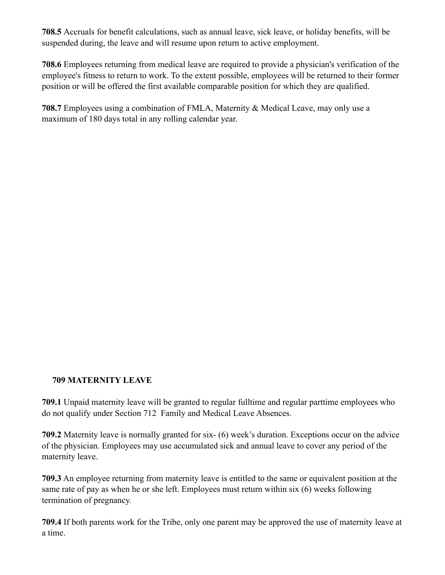**708.5** Accruals for benefit calculations, such as annual leave, sick leave, or holiday benefits, will be suspended during, the leave and will resume upon return to active employment.

**708.6** Employees returning from medical leave are required to provide a physician's verification of the employee's fitness to return to work. To the extent possible, employees will be returned to their former position or will be offered the first available comparable position for which they are qualified.

**708.7** Employees using a combination of FMLA, Maternity & Medical Leave, may only use a maximum of 180 days total in any rolling calendar year.

### **709 MATERNITY LEAVE**

**709.1** Unpaid maternity leave will be granted to regular fulltime and regular parttime employees who do not qualify under Section 712 Family and Medical Leave Absences.

**709.2** Maternity leave is normally granted for six- (6) week's duration. Exceptions occur on the advice of the physician. Employees may use accumulated sick and annual leave to cover any period of the maternity leave.

**709.3** An employee returning from maternity leave is entitled to the same or equivalent position at the same rate of pay as when he or she left. Employees must return within six (6) weeks following termination of pregnancy.

**709.4** If both parents work for the Tribe, only one parent may be approved the use of maternity leave at a time.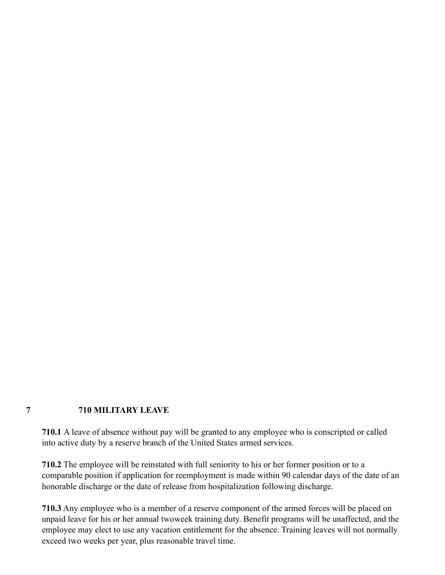#### **7 710 MILITARY LEAVE**

**710.1** A leave of absence without pay will be granted to any employee who is conscripted or called into active duty by a reserve branch of the United States armed services.

**710.2** The employee will be reinstated with full seniority to his or her former position or to a comparable position if application for reemployment is made within 90 calendar days of the date of an honorable discharge or the date of release from hospitalization following discharge.

**710.3** Any employee who is a member of a reserve component of the armed forces will be placed on unpaid leave for his or her annual twoweek training duty. Benefit programs will be unaffected, and the employee may elect to use any vacation entitlement for the absence. Training leaves will not normally exceed two weeks per year, plus reasonable travel time.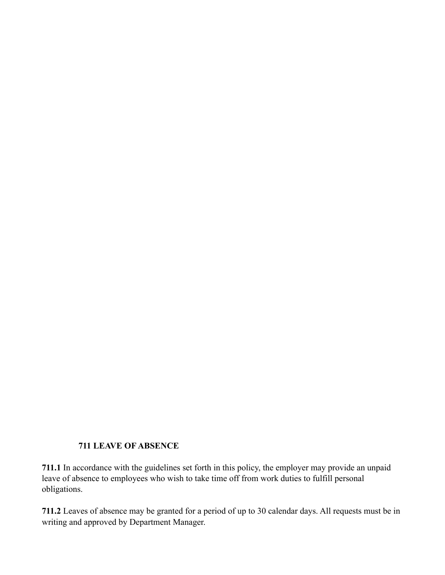### **711 LEAVE OF ABSENCE**

**711.1** In accordance with the guidelines set forth in this policy, the employer may provide an unpaid leave of absence to employees who wish to take time off from work duties to fulfill personal obligations.

**711.2** Leaves of absence may be granted for a period of up to 30 calendar days. All requests must be in writing and approved by Department Manager.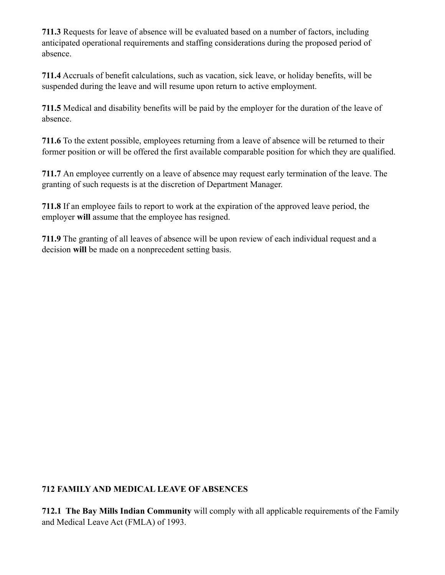**711.3** Requests for leave of absence will be evaluated based on a number of factors, including anticipated operational requirements and staffing considerations during the proposed period of absence.

**711.4** Accruals of benefit calculations, such as vacation, sick leave, or holiday benefits, will be suspended during the leave and will resume upon return to active employment.

**711.5** Medical and disability benefits will be paid by the employer for the duration of the leave of absence.

**711.6** To the extent possible, employees returning from a leave of absence will be returned to their former position or will be offered the first available comparable position for which they are qualified.

**711.7** An employee currently on a leave of absence may request early termination of the leave. The granting of such requests is at the discretion of Department Manager.

**711.8** If an employee fails to report to work at the expiration of the approved leave period, the employer **will** assume that the employee has resigned.

**711.9** The granting of all leaves of absence will be upon review of each individual request and a decision **will** be made on a nonprecedent setting basis.

# **712 FAMILY AND MEDICAL LEAVE OF ABSENCES**

**712.1 The Bay Mills Indian Community** will comply with all applicable requirements of the Family and Medical Leave Act (FMLA) of 1993.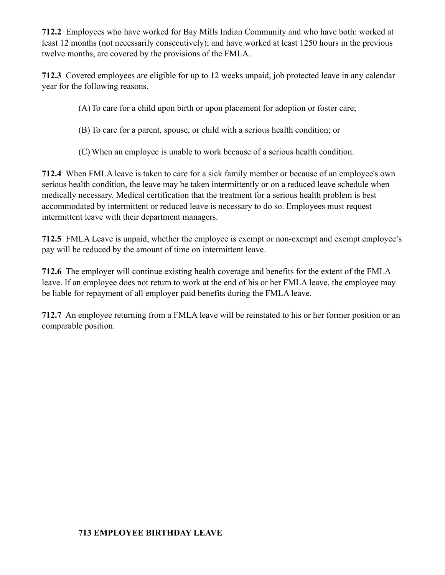**712.2** Employees who have worked for Bay Mills Indian Community and who have both: worked at least 12 months (not necessarily consecutively); and have worked at least 1250 hours in the previous twelve months, are covered by the provisions of the FMLA.

**712.3** Covered employees are eligible for up to 12 weeks unpaid, job protected leave in any calendar year for the following reasons.

(A)To care for a child upon birth or upon placement for adoption or foster care;

(B) To care for a parent, spouse, or child with a serious health condition; or

(C) When an employee is unable to work because of a serious health condition.

**712.4** When FMLA leave is taken to care for a sick family member or because of an employee's own serious health condition, the leave may be taken intermittently or on a reduced leave schedule when medically necessary. Medical certification that the treatment for a serious health problem is best accommodated by intermittent or reduced leave is necessary to do so. Employees must request intermittent leave with their department managers.

**712.5** FMLA Leave is unpaid, whether the employee is exempt or non-exempt and exempt employee's pay will be reduced by the amount of time on intermittent leave.

**712.6** The employer will continue existing health coverage and benefits for the extent of the FMLA leave. If an employee does not return to work at the end of his or her FMLA leave, the employee may be liable for repayment of all employer paid benefits during the FMLA leave.

**712.7** An employee returning from a FMLA leave will be reinstated to his or her former position or an comparable position.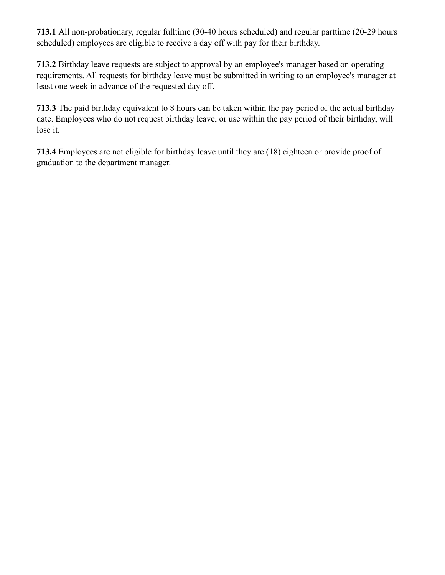**713.1** All non-probationary, regular fulltime (30-40 hours scheduled) and regular parttime (20-29 hours scheduled) employees are eligible to receive a day off with pay for their birthday.

**713.2** Birthday leave requests are subject to approval by an employee's manager based on operating requirements. All requests for birthday leave must be submitted in writing to an employee's manager at least one week in advance of the requested day off.

**713.3** The paid birthday equivalent to 8 hours can be taken within the pay period of the actual birthday date. Employees who do not request birthday leave, or use within the pay period of their birthday, will lose it.

**713.4** Employees are not eligible for birthday leave until they are (18) eighteen or provide proof of graduation to the department manager.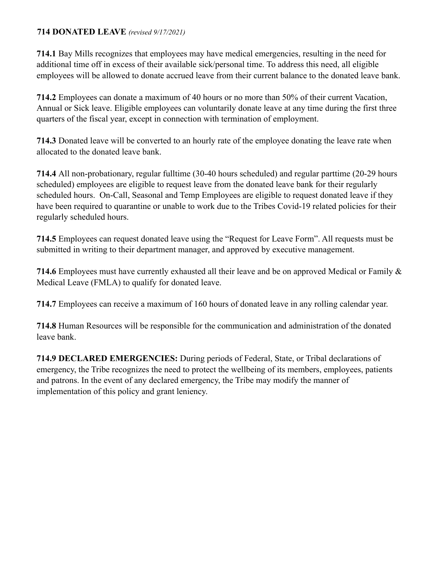### **714 DONATED LEAVE** *(revised 9/17/2021)*

**714.1** Bay Mills recognizes that employees may have medical emergencies, resulting in the need for additional time off in excess of their available sick/personal time. To address this need, all eligible employees will be allowed to donate accrued leave from their current balance to the donated leave bank.

**714.2** Employees can donate a maximum of 40 hours or no more than 50% of their current Vacation, Annual or Sick leave. Eligible employees can voluntarily donate leave at any time during the first three quarters of the fiscal year, except in connection with termination of employment.

**714.3** Donated leave will be converted to an hourly rate of the employee donating the leave rate when allocated to the donated leave bank.

**714.4** All non-probationary, regular fulltime (30-40 hours scheduled) and regular parttime (20-29 hours scheduled) employees are eligible to request leave from the donated leave bank for their regularly scheduled hours. On-Call, Seasonal and Temp Employees are eligible to request donated leave if they have been required to quarantine or unable to work due to the Tribes Covid-19 related policies for their regularly scheduled hours.

**714.5** Employees can request donated leave using the "Request for Leave Form". All requests must be submitted in writing to their department manager, and approved by executive management.

**714.6** Employees must have currently exhausted all their leave and be on approved Medical or Family & Medical Leave (FMLA) to qualify for donated leave.

**714.7** Employees can receive a maximum of 160 hours of donated leave in any rolling calendar year.

**714.8** Human Resources will be responsible for the communication and administration of the donated leave bank.

**714.9 DECLARED EMERGENCIES:** During periods of Federal, State, or Tribal declarations of emergency, the Tribe recognizes the need to protect the wellbeing of its members, employees, patients and patrons. In the event of any declared emergency, the Tribe may modify the manner of implementation of this policy and grant leniency.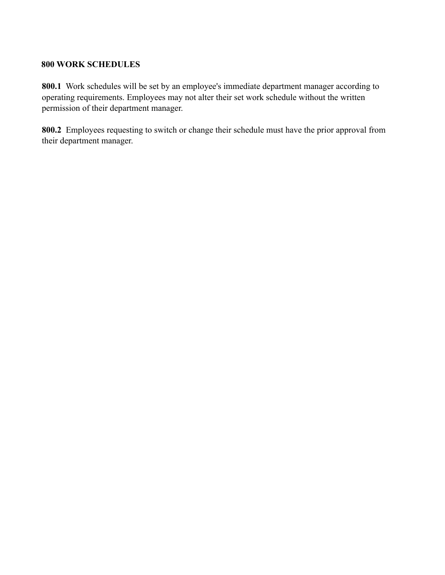### **800 WORK SCHEDULES**

**800.1** Work schedules will be set by an employee's immediate department manager according to operating requirements. Employees may not alter their set work schedule without the written permission of their department manager.

**800.2** Employees requesting to switch or change their schedule must have the prior approval from their department manager.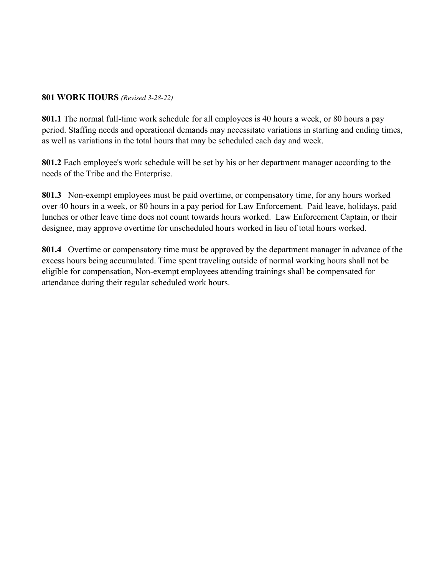#### **801 WORK HOURS** *(Revised 3-28-22)*

**801.1** The normal full-time work schedule for all employees is 40 hours a week, or 80 hours a pay period. Staffing needs and operational demands may necessitate variations in starting and ending times, as well as variations in the total hours that may be scheduled each day and week.

**801.2** Each employee's work schedule will be set by his or her department manager according to the needs of the Tribe and the Enterprise.

**801.3** Non-exempt employees must be paid overtime, or compensatory time, for any hours worked over 40 hours in a week, or 80 hours in a pay period for Law Enforcement. Paid leave, holidays, paid lunches or other leave time does not count towards hours worked. Law Enforcement Captain, or their designee, may approve overtime for unscheduled hours worked in lieu of total hours worked.

**801.4** Overtime or compensatory time must be approved by the department manager in advance of the excess hours being accumulated. Time spent traveling outside of normal working hours shall not be eligible for compensation, Non-exempt employees attending trainings shall be compensated for attendance during their regular scheduled work hours.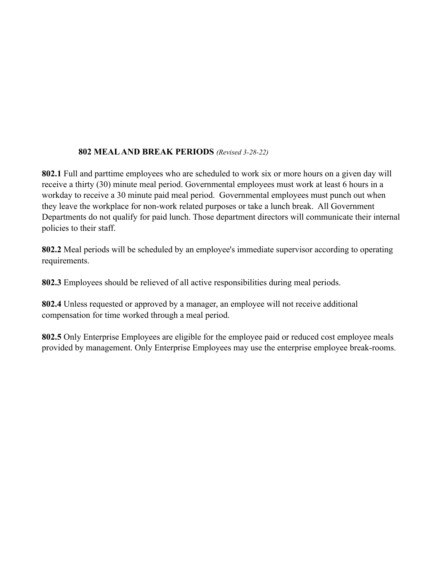# **802 MEAL AND BREAK PERIODS** *(Revised 3-28-22)*

**802.1** Full and parttime employees who are scheduled to work six or more hours on a given day will receive a thirty (30) minute meal period. Governmental employees must work at least 6 hours in a workday to receive a 30 minute paid meal period. Governmental employees must punch out when they leave the workplace for non-work related purposes or take a lunch break. All Government Departments do not qualify for paid lunch. Those department directors will communicate their internal policies to their staff.

**802.2** Meal periods will be scheduled by an employee's immediate supervisor according to operating requirements.

**802.3** Employees should be relieved of all active responsibilities during meal periods.

**802.4** Unless requested or approved by a manager, an employee will not receive additional compensation for time worked through a meal period.

**802.5** Only Enterprise Employees are eligible for the employee paid or reduced cost employee meals provided by management. Only Enterprise Employees may use the enterprise employee break-rooms.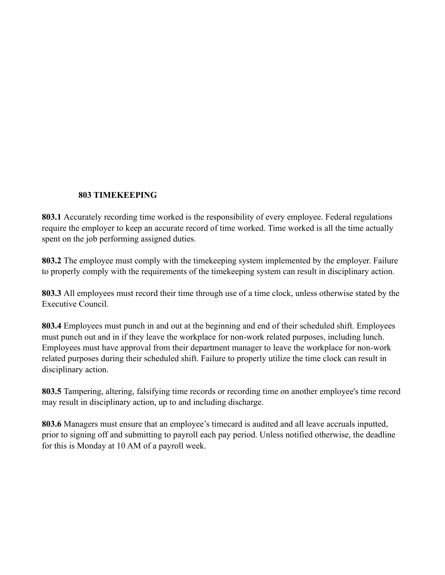## **803 TIMEKEEPING**

**803.1** Accurately recording time worked is the responsibility of every employee. Federal regulations require the employer to keep an accurate record of time worked. Time worked is all the time actually spent on the job performing assigned duties.

**803.2** The employee must comply with the timekeeping system implemented by the employer. Failure to properly comply with the requirements of the timekeeping system can result in disciplinary action.

**803.3** All employees must record their time through use of a time clock, unless otherwise stated by the Executive Council.

**803.4** Employees must punch in and out at the beginning and end of their scheduled shift. Employees must punch out and in if they leave the workplace for non-work related purposes, including lunch. Employees must have approval from their department manager to leave the workplace for non-work related purposes during their scheduled shift. Failure to properly utilize the time clock can result in disciplinary action.

**803.5** Tampering, altering, falsifying time records or recording time on another employee's time record may result in disciplinary action, up to and including discharge.

**803.6** Managers must ensure that an employee's timecard is audited and all leave accruals inputted, prior to signing off and submitting to payroll each pay period. Unless notified otherwise, the deadline for this is Monday at 10 AM of a payroll week.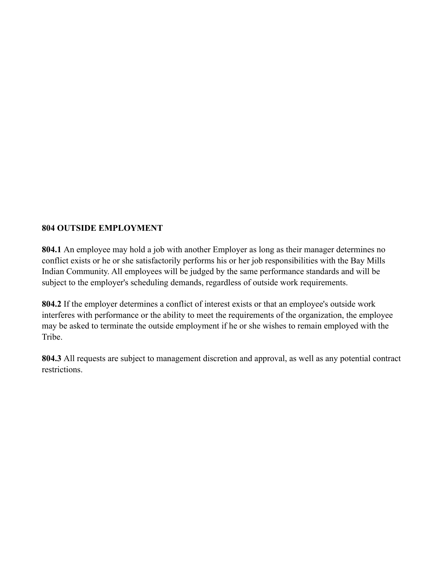## **804 OUTSIDE EMPLOYMENT**

**804.1** An employee may hold a job with another Employer as long as their manager determines no conflict exists or he or she satisfactorily performs his or her job responsibilities with the Bay Mills Indian Community. All employees will be judged by the same performance standards and will be subject to the employer's scheduling demands, regardless of outside work requirements.

**804.2** If the employer determines a conflict of interest exists or that an employee's outside work interferes with performance or the ability to meet the requirements of the organization, the employee may be asked to terminate the outside employment if he or she wishes to remain employed with the Tribe.

**804.3** All requests are subject to management discretion and approval, as well as any potential contract restrictions.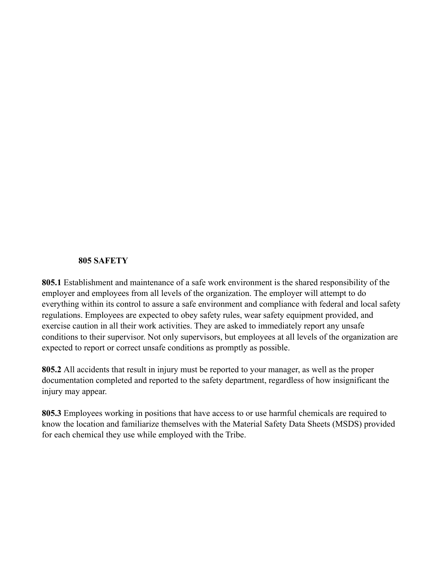#### **805 SAFETY**

**805.1** Establishment and maintenance of a safe work environment is the shared responsibility of the employer and employees from all levels of the organization. The employer will attempt to do everything within its control to assure a safe environment and compliance with federal and local safety regulations. Employees are expected to obey safety rules, wear safety equipment provided, and exercise caution in all their work activities. They are asked to immediately report any unsafe conditions to their supervisor. Not only supervisors, but employees at all levels of the organization are expected to report or correct unsafe conditions as promptly as possible.

**805.2** All accidents that result in injury must be reported to your manager, as well as the proper documentation completed and reported to the safety department, regardless of how insignificant the injury may appear.

**805.3** Employees working in positions that have access to or use harmful chemicals are required to know the location and familiarize themselves with the Material Safety Data Sheets (MSDS) provided for each chemical they use while employed with the Tribe.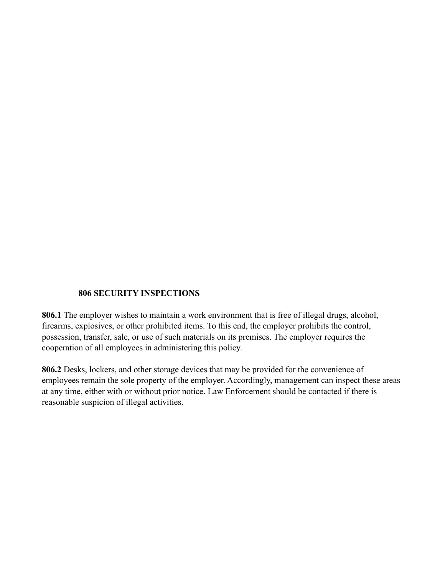## **806 SECURITY INSPECTIONS**

**806.1** The employer wishes to maintain a work environment that is free of illegal drugs, alcohol, firearms, explosives, or other prohibited items. To this end, the employer prohibits the control, possession, transfer, sale, or use of such materials on its premises. The employer requires the cooperation of all employees in administering this policy.

**806.2** Desks, lockers, and other storage devices that may be provided for the convenience of employees remain the sole property of the employer. Accordingly, management can inspect these areas at any time, either with or without prior notice. Law Enforcement should be contacted if there is reasonable suspicion of illegal activities.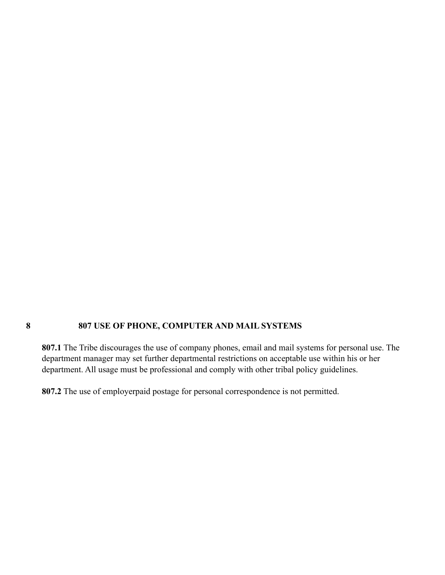# **8 807 USE OF PHONE, COMPUTER AND MAIL SYSTEMS**

**807.1** The Tribe discourages the use of company phones, email and mail systems for personal use. The department manager may set further departmental restrictions on acceptable use within his or her department. All usage must be professional and comply with other tribal policy guidelines.

**807.2** The use of employerpaid postage for personal correspondence is not permitted.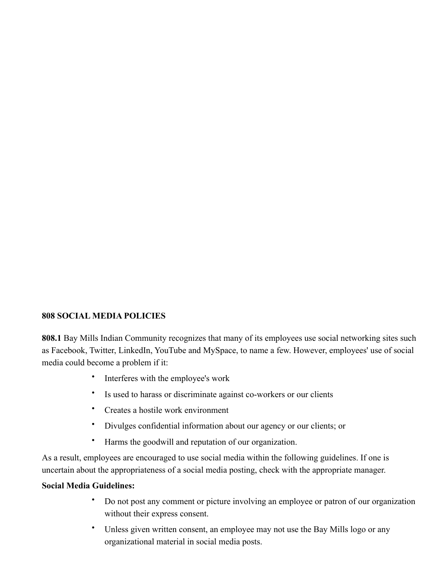# **808 SOCIAL MEDIA POLICIES**

**808.1** Bay Mills Indian Community recognizes that many of its employees use social networking sites such as Facebook, Twitter, LinkedIn, YouTube and MySpace, to name a few. However, employees' use of social media could become a problem if it:

- Interferes with the employee's work
- Is used to harass or discriminate against co-workers or our clients
- Creates a hostile work environment
- Divulges confidential information about our agency or our clients; or
- Harms the goodwill and reputation of our organization.

As a result, employees are encouraged to use social media within the following guidelines. If one is uncertain about the appropriateness of a social media posting, check with the appropriate manager.

## **Social Media Guidelines:**

- Do not post any comment or picture involving an employee or patron of our organization without their express consent.
- Unless given written consent, an employee may not use the Bay Mills logo or any organizational material in social media posts.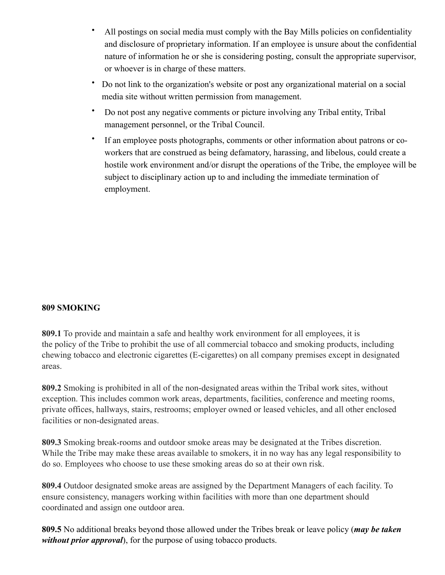- All postings on social media must comply with the Bay Mills policies on confidentiality and disclosure of proprietary information. If an employee is unsure about the confidential nature of information he or she is considering posting, consult the appropriate supervisor, or whoever is in charge of these matters.
- Do not link to the organization's website or post any organizational material on a social media site without written permission from management.
- Do not post any negative comments or picture involving any Tribal entity, Tribal management personnel, or the Tribal Council.
- If an employee posts photographs, comments or other information about patrons or coworkers that are construed as being defamatory, harassing, and libelous, could create a hostile work environment and/or disrupt the operations of the Tribe, the employee will be subject to disciplinary action up to and including the immediate termination of employment.

# **809 SMOKING**

**809.1** To provide and maintain a safe and healthy work environment for all employees, it is the policy of the Tribe to prohibit the use of all commercial tobacco and smoking products, including chewing tobacco and electronic cigarettes (E-cigarettes) on all company premises except in designated areas.

**809.2** Smoking is prohibited in all of the non-designated areas within the Tribal work sites, without exception. This includes common work areas, departments, facilities, conference and meeting rooms, private offices, hallways, stairs, restrooms; employer owned or leased vehicles, and all other enclosed facilities or non-designated areas.

**809.3** Smoking break-rooms and outdoor smoke areas may be designated at the Tribes discretion. While the Tribe may make these areas available to smokers, it in no way has any legal responsibility to do so. Employees who choose to use these smoking areas do so at their own risk.

**809.4** Outdoor designated smoke areas are assigned by the Department Managers of each facility. To ensure consistency, managers working within facilities with more than one department should coordinated and assign one outdoor area.

**809.5** No additional breaks beyond those allowed under the Tribes break or leave policy (*may be taken without prior approval*), for the purpose of using tobacco products.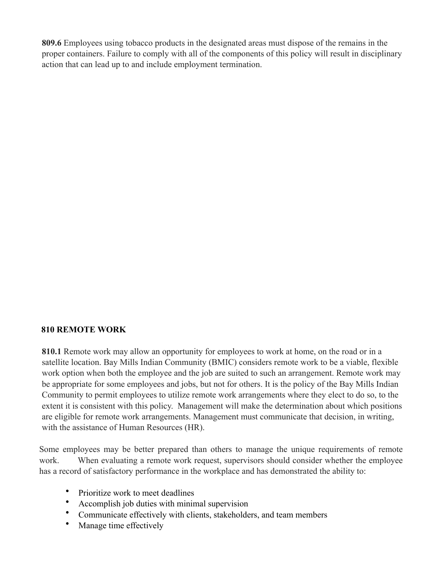**809.6** Employees using tobacco products in the designated areas must dispose of the remains in the proper containers. Failure to comply with all of the components of this policy will result [in disciplinary](https://www.thebalance.com/use-disciplinary-actions-effectively-and-legally-1917913)  [action](https://www.thebalance.com/use-disciplinary-actions-effectively-and-legally-1917913) that can lead up to and include [employment termination.](https://www.thebalance.com/what-causes-employment-termination-1918275)

## **810 REMOTE WORK**

**810.1** Remote work may allow an opportunity for employees to work at home, on the road or in a satellite location. Bay Mills Indian Community (BMIC) considers remote work to be a viable, flexible work option when both the employee and the job are suited to such an arrangement. Remote work may be appropriate for some employees and jobs, but not for others. It is the policy of the Bay Mills Indian Community to permit employees to utilize remote work arrangements where they elect to do so, to the extent it is consistent with this policy. Management will make the determination about which positions are eligible for remote work arrangements. Management must communicate that decision, in writing, with the assistance of Human Resources (HR).

Some employees may be better prepared than others to manage the unique requirements of remote work. When evaluating a remote work request, supervisors should consider whether the employee has a record of satisfactory performance in the workplace and has demonstrated the ability to:

- Prioritize work to meet deadlines
- Accomplish job duties with minimal supervision
- Communicate effectively with clients, stakeholders, and team members
- Manage time effectively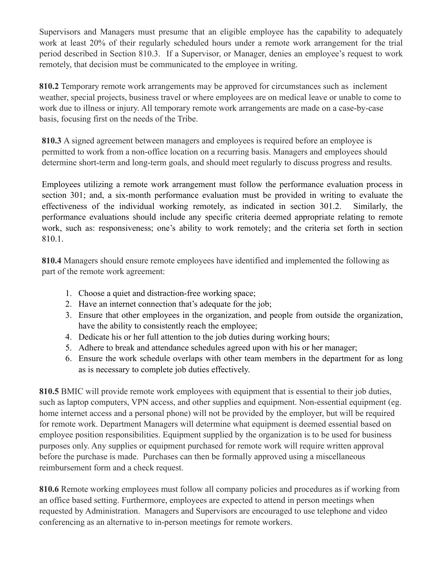Supervisors and Managers must presume that an eligible employee has the capability to adequately work at least 20% of their regularly scheduled hours under a remote work arrangement for the trial period described in Section 810.3. If a Supervisor, or Manager, denies an employee's request to work remotely, that decision must be communicated to the employee in writing.

**810.2** Temporary remote work arrangements may be approved for circumstances such as inclement weather, special projects, business travel or where employees are on medical leave or unable to come to work due to illness or injury. All temporary remote work arrangements are made on a case-by-case basis, focusing first on the needs of the Tribe.

**810.3** A signed agreement between managers and employees is required before an employee is permitted to work from a non-office location on a recurring basis. Managers and employees should determine short-term and long-term goals, and should meet regularly to discuss progress and results.

Employees utilizing a remote work arrangement must follow the performance evaluation process in section 301; and, a six-month performance evaluation must be provided in writing to evaluate the effectiveness of the individual working remotely, as indicated in section 301.2. Similarly, the performance evaluations should include any specific criteria deemed appropriate relating to remote work, such as: responsiveness; one's ability to work remotely; and the criteria set forth in section 810.1.

**810.4** Managers should ensure remote employees have identified and implemented the following as part of the remote work agreement:

- 1. Choose a quiet and distraction-free working space;
- 2. Have an internet connection that's adequate for the job;
- 3. Ensure that other employees in the organization, and people from outside the organization, have the ability to consistently reach the employee;
- 4. Dedicate his or her full attention to the job duties during working hours;
- 5. Adhere to break and attendance schedules agreed upon with his or her manager;
- 6. Ensure the work schedule overlaps with other team members in the department for as long as is necessary to complete job duties effectively.

**810.5** BMIC will provide remote work employees with equipment that is essential to their job duties, such as laptop computers, VPN access, and other supplies and equipment. Non-essential equipment (eg. home internet access and a personal phone) will not be provided by the employer, but will be required for remote work. Department Managers will determine what equipment is deemed essential based on employee position responsibilities. Equipment supplied by the organization is to be used for business purposes only. Any supplies or equipment purchased for remote work will require written approval before the purchase is made. Purchases can then be formally approved using a miscellaneous reimbursement form and a check request.

**810.6** Remote working employees must follow all company policies and procedures as if working from an office based setting. Furthermore, employees are expected to attend in person meetings when requested by Administration. Managers and Supervisors are encouraged to use telephone and video conferencing as an alternative to in-person meetings for remote workers.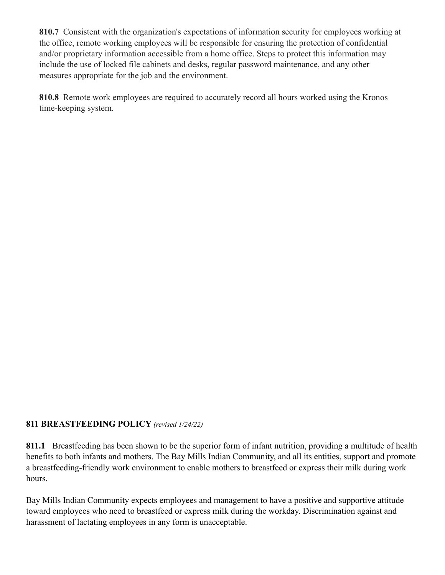**810.7** Consistent with the organization's expectations of information security for employees working at the office, remote working employees will be responsible for ensuring the protection of confidential and/or proprietary information accessible from a home office. Steps to protect this information may include the use of locked file cabinets and desks, regular password maintenance, and any other measures appropriate for the job and the environment.

**810.8** Remote work employees are required to accurately record all hours worked using the Kronos time-keeping system.

# **811 BREASTFEEDING POLICY** *(revised 1/24/22)*

**811.1** Breastfeeding has been shown to be the superior form of infant nutrition, providing a multitude of health benefits to both infants and mothers. The Bay Mills Indian Community, and all its entities, support and promote a breastfeeding-friendly work environment to enable mothers to breastfeed or express their milk during work hours.

Bay Mills Indian Community expects employees and management to have a positive and supportive attitude toward employees who need to breastfeed or express milk during the workday. Discrimination against and harassment of lactating employees in any form is unacceptable.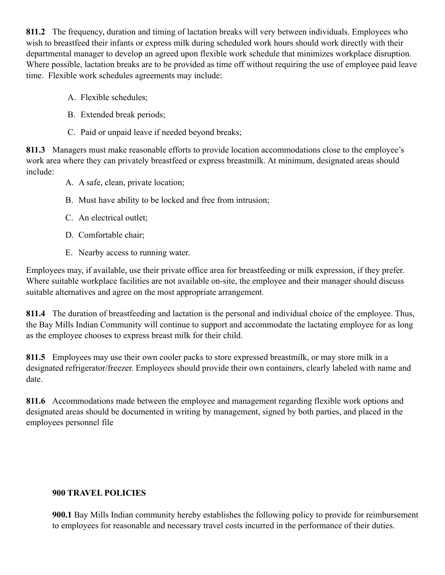**811.2** The frequency, duration and timing of lactation breaks will very between individuals. Employees who wish to breastfeed their infants or express milk during scheduled work hours should work directly with their departmental manager to develop an agreed upon flexible work schedule that minimizes workplace disruption. Where possible, lactation breaks are to be provided as time off without requiring the use of employee paid leave time. Flexible work schedules agreements may include:

- A. Flexible schedules;
- B. Extended break periods;
- C. Paid or unpaid leave if needed beyond breaks;

**811.3** Managers must make reasonable efforts to provide location accommodations close to the employee's work area where they can privately breastfeed or express breastmilk. At minimum, designated areas should include:

- A. A safe, clean, private location;
- B. Must have ability to be locked and free from intrusion;
- C. An electrical outlet;
- D. Comfortable chair;
- E. Nearby access to running water.

Employees may, if available, use their private office area for breastfeeding or milk expression, if they prefer. Where suitable workplace facilities are not available on-site, the employee and their manager should discuss suitable alternatives and agree on the most appropriate arrangement.

**811.4** The duration of breastfeeding and lactation is the personal and individual choice of the employee. Thus, the Bay Mills Indian Community will continue to support and accommodate the lactating employee for as long as the employee chooses to express breast milk for their child.

**811.5** Employees may use their own cooler packs to store expressed breastmilk, or may store milk in a designated refrigerator/freezer. Employees should provide their own containers, clearly labeled with name and date.

**811.6** Accommodations made between the employee and management regarding flexible work options and designated areas should be documented in writing by management, signed by both parties, and placed in the employees personnel file

## **900 TRAVEL POLICIES**

**900.1** Bay Mills Indian community hereby establishes the following policy to provide for reimbursement to employees for reasonable and necessary travel costs incurred in the performance of their duties.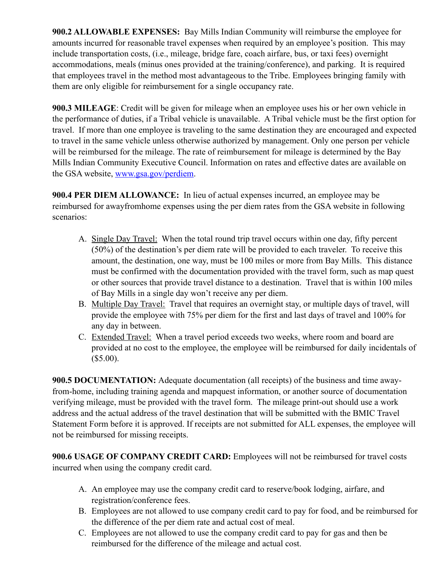**900.2 ALLOWABLE EXPENSES:** Bay Mills Indian Community will reimburse the employee for amounts incurred for reasonable travel expenses when required by an employee's position. This may include transportation costs, (i.e., mileage, bridge fare, coach airfare, bus, or taxi fees) overnight accommodations, meals (minus ones provided at the training/conference), and parking. It is required that employees travel in the method most advantageous to the Tribe. Employees bringing family with them are only eligible for reimbursement for a single occupancy rate.

**900.3 MILEAGE**: Credit will be given for mileage when an employee uses his or her own vehicle in the performance of duties, if a Tribal vehicle is unavailable. A Tribal vehicle must be the first option for travel. If more than one employee is traveling to the same destination they are encouraged and expected to travel in the same vehicle unless otherwise authorized by management. Only one person per vehicle will be reimbursed for the mileage. The rate of reimbursement for mileage is determined by the Bay Mills Indian Community Executive Council. Information on rates and effective dates are available on the GSA website, [www.gsa.gov/perdiem.](http://www.gsa.gov/perdiem)

**900.4 PER DIEM ALLOWANCE:** In lieu of actual expenses incurred, an employee may be reimbursed for awayfromhome expenses using the per diem rates from the GSA website in following scenarios:

- A. Single Day Travel: When the total round trip travel occurs within one day, fifty percent (50%) of the destination's per diem rate will be provided to each traveler. To receive this amount, the destination, one way, must be 100 miles or more from Bay Mills. This distance must be confirmed with the documentation provided with the travel form, such as map quest or other sources that provide travel distance to a destination. Travel that is within 100 miles of Bay Mills in a single day won't receive any per diem.
- B. Multiple Day Travel: Travel that requires an overnight stay, or multiple days of travel, will provide the employee with 75% per diem for the first and last days of travel and 100% for any day in between.
- C. Extended Travel: When a travel period exceeds two weeks, where room and board are provided at no cost to the employee, the employee will be reimbursed for daily incidentals of  $($5.00).$

**900.5 DOCUMENTATION:** Adequate documentation (all receipts) of the business and time awayfrom-home, including training agenda and mapquest information, or another source of documentation verifying mileage, must be provided with the travel form. The mileage print-out should use a work address and the actual address of the travel destination that will be submitted with the BMIC Travel Statement Form before it is approved. If receipts are not submitted for ALL expenses, the employee will not be reimbursed for missing receipts.

**900.6 USAGE OF COMPANY CREDIT CARD:** Employees will not be reimbursed for travel costs incurred when using the company credit card.

- A. An employee may use the company credit card to reserve/book lodging, airfare, and registration/conference fees.
- B. Employees are not allowed to use company credit card to pay for food, and be reimbursed for the difference of the per diem rate and actual cost of meal.
- C. Employees are not allowed to use the company credit card to pay for gas and then be reimbursed for the difference of the mileage and actual cost.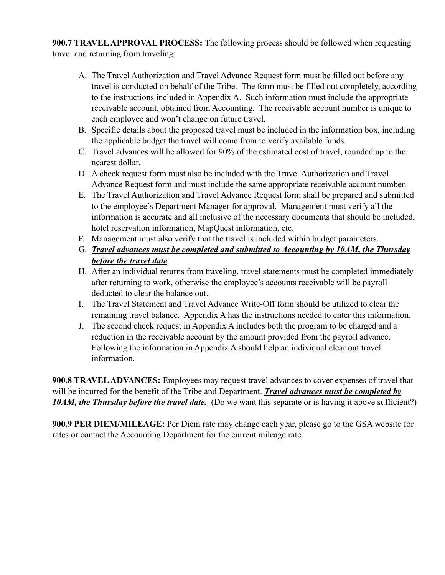**900.7 TRAVEL APPROVAL PROCESS:** The following process should be followed when requesting travel and returning from traveling:

- A. The Travel Authorization and Travel Advance Request form must be filled out before any travel is conducted on behalf of the Tribe. The form must be filled out completely, according to the instructions included in Appendix A. Such information must include the appropriate receivable account, obtained from Accounting. The receivable account number is unique to each employee and won't change on future travel.
- B. Specific details about the proposed travel must be included in the information box, including the applicable budget the travel will come from to verify available funds.
- C. Travel advances will be allowed for 90% of the estimated cost of travel, rounded up to the nearest dollar.
- D. A check request form must also be included with the Travel Authorization and Travel Advance Request form and must include the same appropriate receivable account number.
- E. The Travel Authorization and Travel Advance Request form shall be prepared and submitted to the employee's Department Manager for approval. Management must verify all the information is accurate and all inclusive of the necessary documents that should be included, hotel reservation information, MapQuest information, etc.
- F. Management must also verify that the travel is included within budget parameters.
- G. *Travel advances must be completed and submitted to Accounting by 10AM, the Thursday before the travel date*.
- H. After an individual returns from traveling, travel statements must be completed immediately after returning to work, otherwise the employee's accounts receivable will be payroll deducted to clear the balance out.
- I. The Travel Statement and Travel Advance Write-Off form should be utilized to clear the remaining travel balance. Appendix A has the instructions needed to enter this information.
- J. The second check request in Appendix A includes both the program to be charged and a reduction in the receivable account by the amount provided from the payroll advance. Following the information in Appendix A should help an individual clear out travel information.

**900.8 TRAVEL ADVANCES:** Employees may request travel advances to cover expenses of travel that will be incurred for the benefit of the Tribe and Department. *Travel advances must be completed by 10AM, the Thursday before the travel date.* (Do we want this separate or is having it above sufficient?)

**900.9 PER DIEM/MILEAGE:** Per Diem rate may change each year, please go to the GSA website for rates or contact the Accounting Department for the current mileage rate.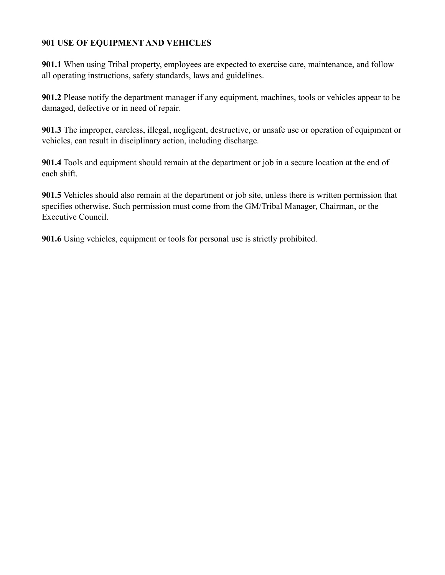# **901 USE OF EQUIPMENT AND VEHICLES**

**901.1** When using Tribal property, employees are expected to exercise care, maintenance, and follow all operating instructions, safety standards, laws and guidelines.

**901.2** Please notify the department manager if any equipment, machines, tools or vehicles appear to be damaged, defective or in need of repair.

**901.3** The improper, careless, illegal, negligent, destructive, or unsafe use or operation of equipment or vehicles, can result in disciplinary action, including discharge.

**901.4** Tools and equipment should remain at the department or job in a secure location at the end of each shift.

**901.5** Vehicles should also remain at the department or job site, unless there is written permission that specifies otherwise. Such permission must come from the GM/Tribal Manager, Chairman, or the Executive Council.

**901.6** Using vehicles, equipment or tools for personal use is strictly prohibited.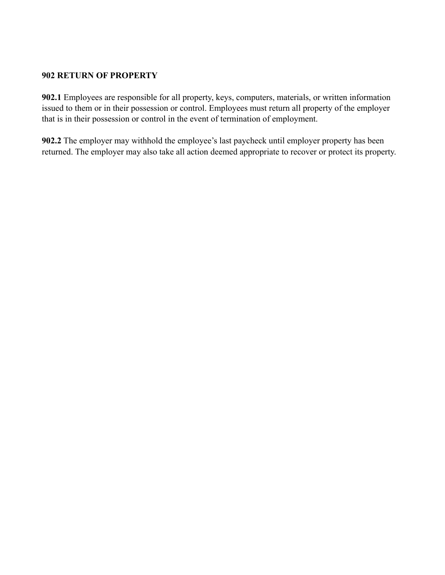#### **902 RETURN OF PROPERTY**

**902.1** Employees are responsible for all property, keys, computers, materials, or written information issued to them or in their possession or control. Employees must return all property of the employer that is in their possession or control in the event of termination of employment.

**902.2** The employer may withhold the employee's last paycheck until employer property has been returned. The employer may also take all action deemed appropriate to recover or protect its property.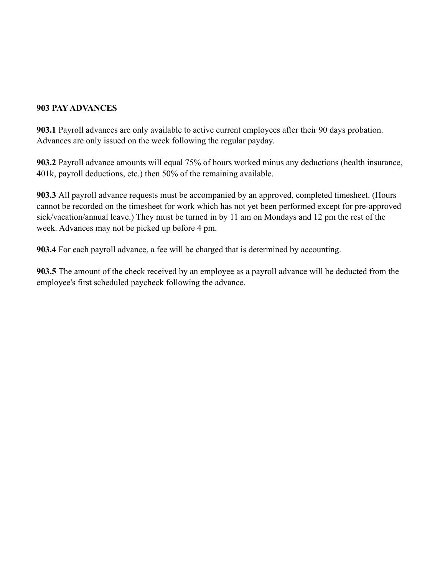# **903 PAY ADVANCES**

**903.1** Payroll advances are only available to active current employees after their 90 days probation. Advances are only issued on the week following the regular payday.

**903.2** Payroll advance amounts will equal 75% of hours worked minus any deductions (health insurance, 401k, payroll deductions, etc.) then 50% of the remaining available.

**903.3** All payroll advance requests must be accompanied by an approved, completed timesheet. (Hours cannot be recorded on the timesheet for work which has not yet been performed except for pre-approved sick/vacation/annual leave.) They must be turned in by 11 am on Mondays and 12 pm the rest of the week. Advances may not be picked up before 4 pm.

**903.4** For each payroll advance, a fee will be charged that is determined by accounting.

**903.5** The amount of the check received by an employee as a payroll advance will be deducted from the employee's first scheduled paycheck following the advance.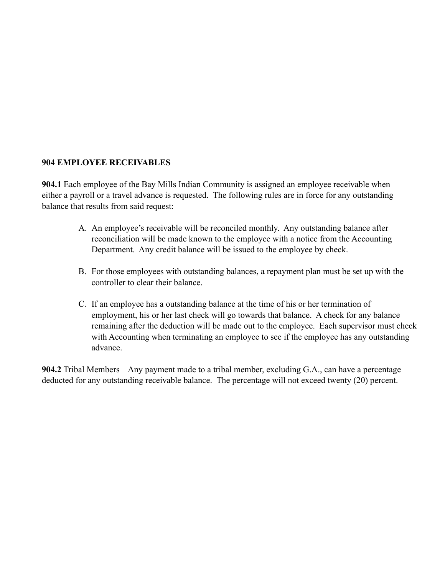#### **904 EMPLOYEE RECEIVABLES**

**904.1** Each employee of the Bay Mills Indian Community is assigned an employee receivable when either a payroll or a travel advance is requested. The following rules are in force for any outstanding balance that results from said request:

- A. An employee's receivable will be reconciled monthly. Any outstanding balance after reconciliation will be made known to the employee with a notice from the Accounting Department. Any credit balance will be issued to the employee by check.
- B. For those employees with outstanding balances, a repayment plan must be set up with the controller to clear their balance.
- C. If an employee has a outstanding balance at the time of his or her termination of employment, his or her last check will go towards that balance. A check for any balance remaining after the deduction will be made out to the employee. Each supervisor must check with Accounting when terminating an employee to see if the employee has any outstanding advance.

**904.2** Tribal Members – Any payment made to a tribal member, excluding G.A., can have a percentage deducted for any outstanding receivable balance. The percentage will not exceed twenty (20) percent.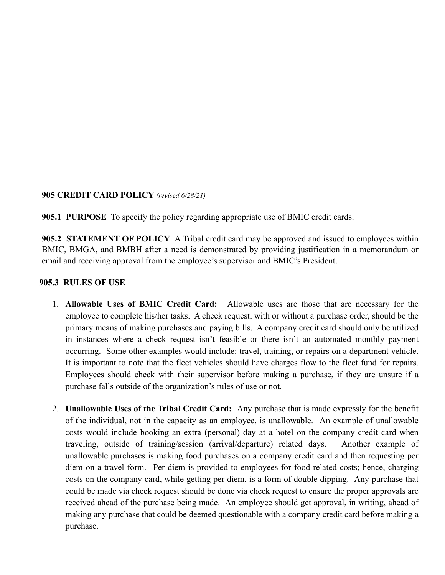#### **905 CREDIT CARD POLICY** *(revised 6/28/21)*

**905.1 PURPOSE** To specify the policy regarding appropriate use of BMIC credit cards.

**905.2 STATEMENT OF POLICY** A Tribal credit card may be approved and issued to employees within BMIC, BMGA, and BMBH after a need is demonstrated by providing justification in a memorandum or email and receiving approval from the employee's supervisor and BMIC's President.

#### **905.3 RULES OF USE**

- 1. **Allowable Uses of BMIC Credit Card:** Allowable uses are those that are necessary for the employee to complete his/her tasks. A check request, with or without a purchase order, should be the primary means of making purchases and paying bills. A company credit card should only be utilized in instances where a check request isn't feasible or there isn't an automated monthly payment occurring. Some other examples would include: travel, training, or repairs on a department vehicle. It is important to note that the fleet vehicles should have charges flow to the fleet fund for repairs. Employees should check with their supervisor before making a purchase, if they are unsure if a purchase falls outside of the organization's rules of use or not.
- 2. **Unallowable Uses of the Tribal Credit Card:** Any purchase that is made expressly for the benefit of the individual, not in the capacity as an employee, is unallowable. An example of unallowable costs would include booking an extra (personal) day at a hotel on the company credit card when traveling, outside of training/session (arrival/departure) related days. Another example of unallowable purchases is making food purchases on a company credit card and then requesting per diem on a travel form. Per diem is provided to employees for food related costs; hence, charging costs on the company card, while getting per diem, is a form of double dipping. Any purchase that could be made via check request should be done via check request to ensure the proper approvals are received ahead of the purchase being made. An employee should get approval, in writing, ahead of making any purchase that could be deemed questionable with a company credit card before making a purchase.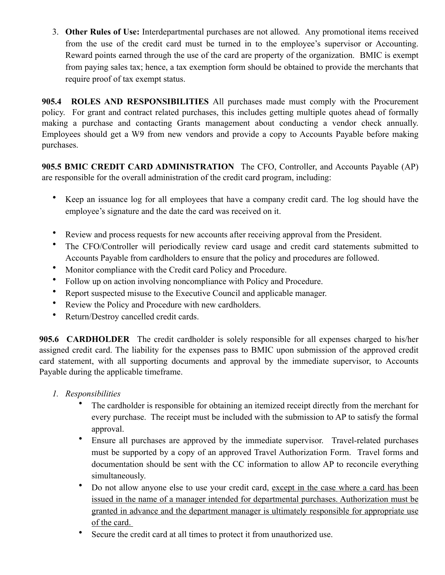3. **Other Rules of Use:** Interdepartmental purchases are not allowed. Any promotional items received from the use of the credit card must be turned in to the employee's supervisor or Accounting. Reward points earned through the use of the card are property of the organization. BMIC is exempt from paying sales tax; hence, a tax exemption form should be obtained to provide the merchants that require proof of tax exempt status.

**905.4 ROLES AND RESPONSIBILITIES** All purchases made must comply with the Procurement policy. For grant and contract related purchases, this includes getting multiple quotes ahead of formally making a purchase and contacting Grants management about conducting a vendor check annually. Employees should get a W9 from new vendors and provide a copy to Accounts Payable before making purchases.

**905.5 BMIC CREDIT CARD ADMINISTRATION** The CFO, Controller, and Accounts Payable (AP) are responsible for the overall administration of the credit card program, including:

- Keep an issuance log for all employees that have a company credit card. The log should have the employee's signature and the date the card was received on it.
- Review and process requests for new accounts after receiving approval from the President.
- The CFO/Controller will periodically review card usage and credit card statements submitted to Accounts Payable from cardholders to ensure that the policy and procedures are followed.
- Monitor compliance with the Credit card Policy and Procedure.
- Follow up on action involving noncompliance with Policy and Procedure.
- Report suspected misuse to the Executive Council and applicable manager.
- Review the Policy and Procedure with new cardholders.
- Return/Destroy cancelled credit cards.

**905.6 CARDHOLDER** The credit cardholder is solely responsible for all expenses charged to his/her assigned credit card. The liability for the expenses pass to BMIC upon submission of the approved credit card statement, with all supporting documents and approval by the immediate supervisor, to Accounts Payable during the applicable timeframe.

- *1. Responsibilities*
	- The cardholder is responsible for obtaining an itemized receipt directly from the merchant for every purchase. The receipt must be included with the submission to AP to satisfy the formal approval.
	- Ensure all purchases are approved by the immediate supervisor. Travel-related purchases must be supported by a copy of an approved Travel Authorization Form. Travel forms and documentation should be sent with the CC information to allow AP to reconcile everything simultaneously.
	- Do not allow anyone else to use your credit card, except in the case where a card has been issued in the name of a manager intended for departmental purchases. Authorization must be granted in advance and the department manager is ultimately responsible for appropriate use of the card.
	- Secure the credit card at all times to protect it from unauthorized use.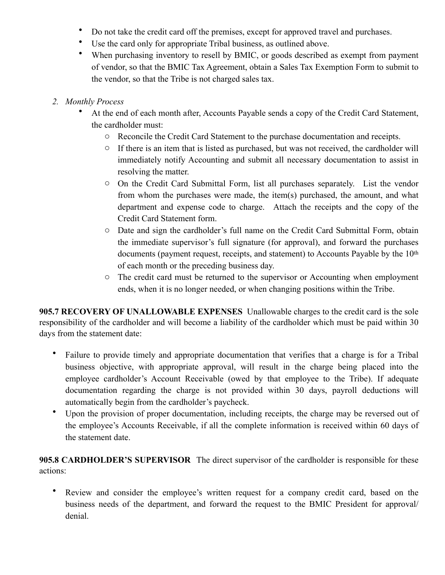- Do not take the credit card off the premises, except for approved travel and purchases.
- Use the card only for appropriate Tribal business, as outlined above.
- When purchasing inventory to resell by BMIC, or goods described as exempt from payment of vendor, so that the BMIC Tax Agreement, obtain a Sales Tax Exemption Form to submit to the vendor, so that the Tribe is not charged sales tax.
- *2. Monthly Process*
	- At the end of each month after, Accounts Payable sends a copy of the Credit Card Statement, the cardholder must:
		- o Reconcile the Credit Card Statement to the purchase documentation and receipts.
		- o If there is an item that is listed as purchased, but was not received, the cardholder will immediately notify Accounting and submit all necessary documentation to assist in resolving the matter.
		- o On the Credit Card Submittal Form, list all purchases separately. List the vendor from whom the purchases were made, the item(s) purchased, the amount, and what department and expense code to charge. Attach the receipts and the copy of the Credit Card Statement form.
		- o Date and sign the cardholder's full name on the Credit Card Submittal Form, obtain the immediate supervisor's full signature (for approval), and forward the purchases documents (payment request, receipts, and statement) to Accounts Payable by the 10<sup>th</sup> of each month or the preceding business day.
		- o The credit card must be returned to the supervisor or Accounting when employment ends, when it is no longer needed, or when changing positions within the Tribe.

**905.7 RECOVERY OF UNALLOWABLE EXPENSES** Unallowable charges to the credit card is the sole responsibility of the cardholder and will become a liability of the cardholder which must be paid within 30 days from the statement date:

- Failure to provide timely and appropriate documentation that verifies that a charge is for a Tribal business objective, with appropriate approval, will result in the charge being placed into the employee cardholder's Account Receivable (owed by that employee to the Tribe). If adequate documentation regarding the charge is not provided within 30 days, payroll deductions will automatically begin from the cardholder's paycheck.
- Upon the provision of proper documentation, including receipts, the charge may be reversed out of the employee's Accounts Receivable, if all the complete information is received within 60 days of the statement date.

**905.8 CARDHOLDER'S SUPERVISOR** The direct supervisor of the cardholder is responsible for these actions:

Review and consider the employee's written request for a company credit card, based on the business needs of the department, and forward the request to the BMIC President for approval/ denial.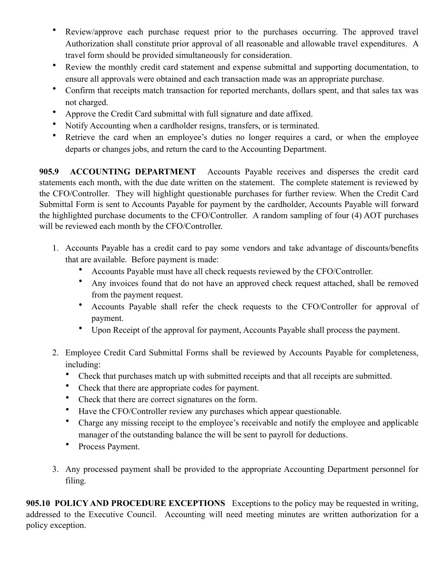- Review/approve each purchase request prior to the purchases occurring. The approved travel Authorization shall constitute prior approval of all reasonable and allowable travel expenditures. A travel form should be provided simultaneously for consideration.
- Review the monthly credit card statement and expense submittal and supporting documentation, to ensure all approvals were obtained and each transaction made was an appropriate purchase.
- Confirm that receipts match transaction for reported merchants, dollars spent, and that sales tax was not charged.
- Approve the Credit Card submittal with full signature and date affixed.
- Notify Accounting when a cardholder resigns, transfers, or is terminated.
- Retrieve the card when an employee's duties no longer requires a card, or when the employee departs or changes jobs, and return the card to the Accounting Department.

**905.9 ACCOUNTING DEPARTMENT** Accounts Payable receives and disperses the credit card statements each month, with the due date written on the statement. The complete statement is reviewed by the CFO/Controller. They will highlight questionable purchases for further review. When the Credit Card Submittal Form is sent to Accounts Payable for payment by the cardholder, Accounts Payable will forward the highlighted purchase documents to the CFO/Controller. A random sampling of four (4) AOT purchases will be reviewed each month by the CFO/Controller.

- 1. Accounts Payable has a credit card to pay some vendors and take advantage of discounts/benefits that are available. Before payment is made:
	- Accounts Payable must have all check requests reviewed by the CFO/Controller.
	- Any invoices found that do not have an approved check request attached, shall be removed from the payment request.
	- Accounts Payable shall refer the check requests to the CFO/Controller for approval of payment.
	- Upon Receipt of the approval for payment, Accounts Payable shall process the payment.
- 2. Employee Credit Card Submittal Forms shall be reviewed by Accounts Payable for completeness, including:
	- Check that purchases match up with submitted receipts and that all receipts are submitted.
	- Check that there are appropriate codes for payment.
	- Check that there are correct signatures on the form.
	- Have the CFO/Controller review any purchases which appear questionable.
	- Charge any missing receipt to the employee's receivable and notify the employee and applicable manager of the outstanding balance the will be sent to payroll for deductions.
	- Process Payment.
- 3. Any processed payment shall be provided to the appropriate Accounting Department personnel for filing.

**905.10 POLICY AND PROCEDURE EXCEPTIONS** Exceptions to the policy may be requested in writing, addressed to the Executive Council. Accounting will need meeting minutes are written authorization for a policy exception.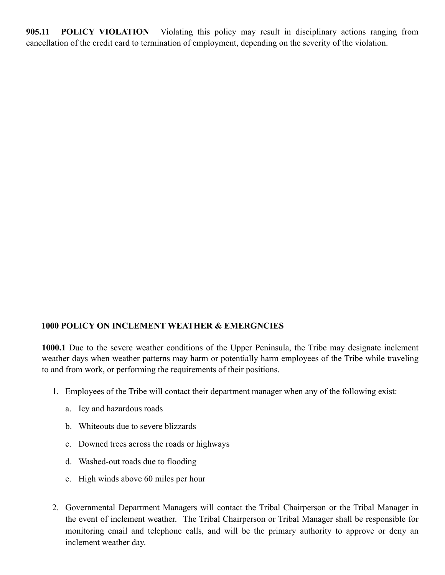**905.11 POLICY VIOLATION** Violating this policy may result in disciplinary actions ranging from cancellation of the credit card to termination of employment, depending on the severity of the violation.

## **1000 POLICY ON INCLEMENT WEATHER & EMERGNCIES**

**1000.1** Due to the severe weather conditions of the Upper Peninsula, the Tribe may designate inclement weather days when weather patterns may harm or potentially harm employees of the Tribe while traveling to and from work, or performing the requirements of their positions.

- 1. Employees of the Tribe will contact their department manager when any of the following exist:
	- a. Icy and hazardous roads
	- b. Whiteouts due to severe blizzards
	- c. Downed trees across the roads or highways
	- d. Washed-out roads due to flooding
	- e. High winds above 60 miles per hour
- 2. Governmental Department Managers will contact the Tribal Chairperson or the Tribal Manager in the event of inclement weather. The Tribal Chairperson or Tribal Manager shall be responsible for monitoring email and telephone calls, and will be the primary authority to approve or deny an inclement weather day.